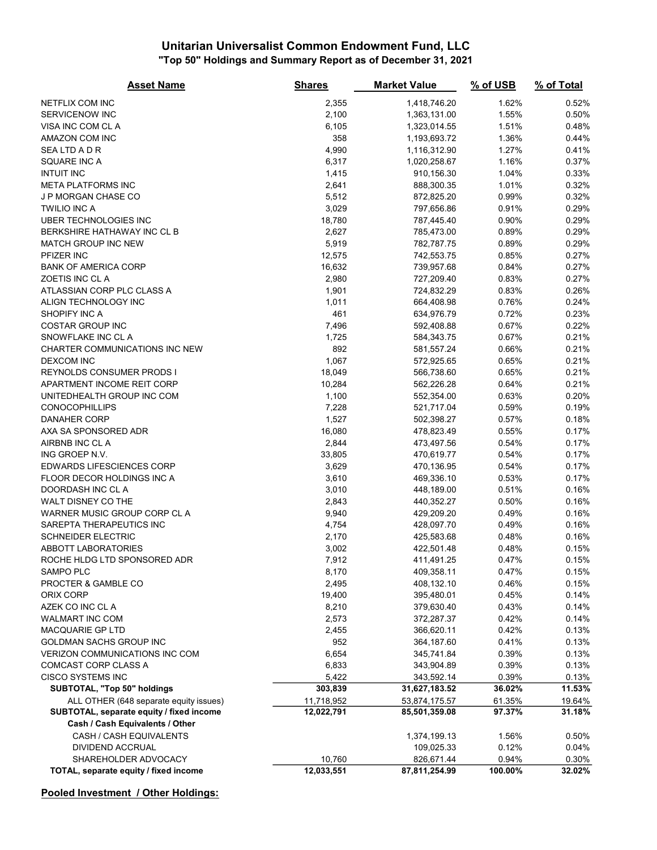#### Unitarian Universalist Common Endowment Fund, LLC "Top 50" Holdings and Summary Report as of December 31, 2021

| <b>Asset Name</b>                                                           | <b>Shares</b>    | <b>Market Value</b>         | % of USB         | % of Total       |
|-----------------------------------------------------------------------------|------------------|-----------------------------|------------------|------------------|
| NETFLIX COM INC                                                             | 2,355            | 1,418,746.20                | 1.62%            | 0.52%            |
| SERVICENOW INC                                                              | 2,100            | 1,363,131.00                | 1.55%            | 0.50%            |
| VISA INC COM CL A                                                           | 6,105            | 1,323,014.55                | 1.51%            | 0.48%            |
| AMAZON COM INC                                                              | 358              | 1,193,693.72                | 1.36%            | 0.44%            |
| <b>SEALTDADR</b>                                                            | 4,990            | 1,116,312.90                | 1.27%            | 0.41%            |
| SQUARE INC A                                                                | 6,317            | 1,020,258.67                | 1.16%            | 0.37%            |
| <b>INTUIT INC</b>                                                           | 1,415            | 910,156.30                  | 1.04%            | 0.33%            |
| <b>META PLATFORMS INC</b>                                                   | 2,641            | 888,300.35                  | 1.01%            | 0.32%            |
| J P MORGAN CHASE CO                                                         | 5,512            | 872,825.20                  | 0.99%            | 0.32%            |
| <b>TWILIO INC A</b>                                                         | 3,029            | 797,656.86                  | 0.91%            | 0.29%            |
| UBER TECHNOLOGIES INC                                                       | 18,780           | 787,445.40                  | 0.90%            | 0.29%            |
| BERKSHIRE HATHAWAY INC CL B                                                 | 2,627            | 785,473.00                  | 0.89%            | 0.29%            |
| <b>MATCH GROUP INC NEW</b>                                                  | 5,919            | 782,787.75                  | 0.89%            | 0.29%            |
| PFIZER INC                                                                  | 12,575           | 742,553.75                  | 0.85%            | 0.27%            |
| <b>BANK OF AMERICA CORP</b>                                                 | 16,632           | 739,957.68                  | 0.84%            | 0.27%            |
| ZOETIS INC CL A                                                             | 2,980            | 727,209.40                  | 0.83%            | 0.27%            |
| ATLASSIAN CORP PLC CLASS A                                                  | 1,901            | 724,832.29                  | 0.83%            | 0.26%            |
| ALIGN TECHNOLOGY INC                                                        | 1,011            | 664,408.98                  | 0.76%            | 0.24%            |
| SHOPIFY INC A                                                               | 461              | 634,976.79                  | 0.72%            | 0.23%            |
| <b>COSTAR GROUP INC</b>                                                     | 7,496            | 592,408.88                  | 0.67%            | 0.22%            |
| SNOWFLAKE INC CL A                                                          | 1,725            |                             | 0.67%            | 0.21%            |
| CHARTER COMMUNICATIONS INC NEW                                              | 892              | 584,343.75<br>581,557.24    | 0.66%            | 0.21%            |
| <b>DEXCOM INC</b>                                                           | 1,067            |                             | 0.65%            | 0.21%            |
| REYNOLDS CONSUMER PRODS I                                                   |                  | 572,925.65                  | 0.65%            | 0.21%            |
| APARTMENT INCOME REIT CORP                                                  | 18,049<br>10,284 | 566,738.60<br>562,226.28    | 0.64%            | 0.21%            |
| UNITEDHEALTH GROUP INC COM                                                  |                  |                             | 0.63%            | 0.20%            |
| <b>CONOCOPHILLIPS</b>                                                       | 1,100            | 552,354.00<br>521,717.04    | 0.59%            | 0.19%            |
|                                                                             | 7,228            |                             |                  |                  |
| <b>DANAHER CORP</b>                                                         | 1,527            | 502,398.27                  | 0.57%            | 0.18%            |
| AXA SA SPONSORED ADR<br>AIRBNB INC CL A                                     | 16,080<br>2,844  | 478,823.49                  | 0.55%<br>0.54%   | 0.17%<br>0.17%   |
| ING GROEP N.V.                                                              | 33,805           | 473,497.56<br>470,619.77    | 0.54%            | 0.17%            |
| EDWARDS LIFESCIENCES CORP                                                   | 3,629            | 470,136.95                  | 0.54%            | 0.17%            |
| FLOOR DECOR HOLDINGS INC A                                                  | 3,610            | 469,336.10                  | 0.53%            | 0.17%            |
| DOORDASH INC CL A                                                           | 3,010            | 448,189.00                  | 0.51%            | 0.16%            |
| WALT DISNEY CO THE                                                          | 2,843            | 440,352.27                  | 0.50%            | 0.16%            |
| WARNER MUSIC GROUP CORP CL A                                                | 9,940            | 429,209.20                  | 0.49%            | 0.16%            |
| SAREPTA THERAPEUTICS INC                                                    | 4,754            | 428,097.70                  | 0.49%            | 0.16%            |
| <b>SCHNEIDER ELECTRIC</b>                                                   | 2,170            | 425,583.68                  | 0.48%            | 0.16%            |
| <b>ABBOTT LABORATORIES</b>                                                  | 3,002            | 422,501.48                  | 0.48%            | 0.15%            |
| ROCHE HLDG LTD SPONSORED ADR                                                | 7,912            | 411,491.25                  | 0.47%            | 0.15%            |
| SAMPO PLC                                                                   | 8,170            | 409,358.11                  | 0.47%            | 0.15%            |
| PROCTER & GAMBLE CO                                                         |                  | 408,132.10                  | 0.46%            | 0.15%            |
| ORIX CORP                                                                   | 2,495            |                             | 0.45%            |                  |
| AZEK CO INC CL A                                                            | 19,400           | 395,480.01                  | 0.43%            | 0.14%            |
| <b>WALMART INC COM</b>                                                      | 8,210<br>2,573   | 379,630.40<br>372,287.37    | 0.42%            | 0.14%<br>0.14%   |
| MACQUARIE GP LTD                                                            |                  |                             | 0.42%            | 0.13%            |
| GOLDMAN SACHS GROUP INC                                                     | 2,455<br>952     | 366,620.11                  | 0.41%            | 0.13%            |
| VERIZON COMMUNICATIONS INC COM                                              | 6,654            | 364,187.60<br>345,741.84    |                  |                  |
| COMCAST CORP CLASS A                                                        |                  |                             | 0.39%<br>0.39%   | 0.13%            |
|                                                                             | 6,833            | 343,904.89                  |                  | 0.13%            |
| <b>CISCO SYSTEMS INC</b><br>SUBTOTAL, "Top 50" holdings                     | 5,422<br>303,839 | 343,592.14<br>31,627,183.52 | 0.39%<br>36.02%  | 0.13%<br>11.53%  |
|                                                                             |                  |                             |                  |                  |
| ALL OTHER (648 separate equity issues)                                      | 11,718,952       | 53,874,175.57               | 61.35%<br>97.37% | 19.64%<br>31.18% |
| SUBTOTAL, separate equity / fixed income<br>Cash / Cash Equivalents / Other | 12,022,791       | 85,501,359.08               |                  |                  |
| CASH / CASH EQUIVALENTS                                                     |                  | 1,374,199.13                | 1.56%            | 0.50%            |
| DIVIDEND ACCRUAL                                                            |                  | 109,025.33                  | 0.12%            | 0.04%            |
| SHAREHOLDER ADVOCACY                                                        | 10,760           | 826,671.44                  | 0.94%            | 0.30%            |
| TOTAL, separate equity / fixed income                                       | 12,033,551       | 87,811,254.99               | 100.00%          | 32.02%           |
|                                                                             |                  |                             |                  |                  |

Pooled Investment / Other Holdings: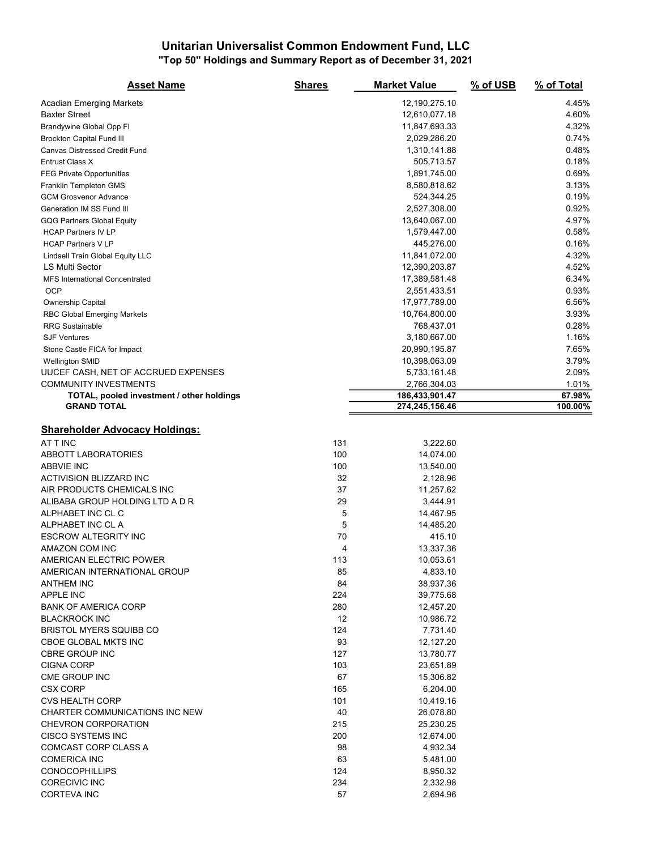#### Unitarian Universalist Common Endowment Fund, LLC "Top 50" Holdings and Summary Report as of December 31, 2021

| <b>Asset Name</b>                         | <b>Shares</b> | <b>Market Value</b> | % of USB | % of Total |
|-------------------------------------------|---------------|---------------------|----------|------------|
| <b>Acadian Emerging Markets</b>           |               | 12,190,275.10       |          | 4.45%      |
| <b>Baxter Street</b>                      |               | 12,610,077.18       |          | 4.60%      |
| Brandywine Global Opp FI                  |               | 11,847,693.33       |          | 4.32%      |
| <b>Brockton Capital Fund III</b>          |               | 2,029,286.20        |          | 0.74%      |
| Canvas Distressed Credit Fund             |               | 1,310,141.88        |          | 0.48%      |
| Entrust Class X                           |               | 505,713.57          |          | 0.18%      |
| <b>FEG Private Opportunities</b>          |               | 1,891,745.00        |          | 0.69%      |
| Franklin Templeton GMS                    |               | 8,580,818.62        |          | 3.13%      |
| <b>GCM Grosvenor Advance</b>              |               | 524,344.25          |          | 0.19%      |
| Generation IM SS Fund III                 |               | 2,527,308.00        |          | 0.92%      |
| <b>GQG Partners Global Equity</b>         |               | 13,640,067.00       |          | 4.97%      |
| <b>HCAP Partners IV LP</b>                |               | 1,579,447.00        |          | 0.58%      |
| <b>HCAP Partners V LP</b>                 |               | 445,276.00          |          | 0.16%      |
| Lindsell Train Global Equity LLC          |               | 11,841,072.00       |          | 4.32%      |
| LS Multi Sector                           |               | 12,390,203.87       |          | 4.52%      |
| <b>MFS International Concentrated</b>     |               | 17,389,581.48       |          | 6.34%      |
| <b>OCP</b>                                |               | 2,551,433.51        |          | 0.93%      |
| Ownership Capital                         |               | 17,977,789.00       |          | 6.56%      |
| <b>RBC Global Emerging Markets</b>        |               | 10,764,800.00       |          | 3.93%      |
| <b>RRG Sustainable</b>                    |               | 768,437.01          |          | 0.28%      |
| <b>SJF Ventures</b>                       |               | 3,180,667.00        |          | 1.16%      |
| Stone Castle FICA for Impact              |               | 20,990,195.87       |          | 7.65%      |
| <b>Wellington SMID</b>                    |               | 10,398,063.09       |          | 3.79%      |
| UUCEF CASH, NET OF ACCRUED EXPENSES       |               | 5,733,161.48        |          | 2.09%      |
| <b>COMMUNITY INVESTMENTS</b>              |               | 2,766,304.03        |          | 1.01%      |
| TOTAL, pooled investment / other holdings |               | 186,433,901.47      |          | 67.98%     |
| <b>GRAND TOTAL</b>                        |               | 274,245,156.46      |          | 100.00%    |
| <b>Shareholder Advocacy Holdings:</b>     |               |                     |          |            |
| AT T INC                                  | 131           | 3,222.60            |          |            |
| <b>ABBOTT LABORATORIES</b>                | 100           | 14,074.00           |          |            |
| <b>ABBVIE INC</b>                         | 100           | 13,540.00           |          |            |
| ACTIVISION BLIZZARD INC                   | 32            | 2,128.96            |          |            |
| AIR PRODUCTS CHEMICALS INC                | 37            | 11,257.62           |          |            |
| ALIBABA GROUP HOLDING LTD A D R           | 29            | 3,444.91            |          |            |
| ALPHABET INC CL C                         | 5             | 14,467.95           |          |            |
| ALPHABET INC CL A                         | 5             | 14,485.20           |          |            |
| <b>ESCROW ALTEGRITY INC</b>               | 70            | 415.10              |          |            |
| AMAZON COM INC                            | 4             | 13,337.36           |          |            |
| AMERICAN ELECTRIC POWER                   | 113           | 10,053.61           |          |            |
| AMERICAN INTERNATIONAL GROUP              | 85            | 4,833.10            |          |            |
| <b>ANTHEM INC</b>                         | 84            | 38,937.36           |          |            |
| APPLE INC                                 | 224           | 39,775.68           |          |            |
| <b>BANK OF AMERICA CORP</b>               | 280           | 12,457.20           |          |            |
| <b>BLACKROCK INC</b>                      | 12            | 10,986.72           |          |            |
| <b>BRISTOL MYERS SQUIBB CO</b>            | 124           | 7,731.40            |          |            |
| CBOE GLOBAL MKTS INC                      | 93            | 12,127.20           |          |            |
| <b>CBRE GROUP INC</b>                     | 127           | 13,780.77           |          |            |
| <b>CIGNA CORP</b>                         | 103           | 23,651.89           |          |            |
| CME GROUP INC                             | 67            | 15,306.82           |          |            |
| <b>CSX CORP</b>                           | 165           | 6,204.00            |          |            |
| <b>CVS HEALTH CORP</b>                    | 101           | 10,419.16           |          |            |
| CHARTER COMMUNICATIONS INC NEW            | 40            | 26,078.80           |          |            |
| <b>CHEVRON CORPORATION</b>                | 215           | 25,230.25           |          |            |
| <b>CISCO SYSTEMS INC</b>                  | 200           | 12,674.00           |          |            |
| <b>COMCAST CORP CLASS A</b>               | 98            | 4,932.34            |          |            |
| <b>COMERICA INC</b>                       | 63            | 5,481.00            |          |            |
| <b>CONOCOPHILLIPS</b>                     | 124           | 8,950.32            |          |            |
| <b>CORECIVIC INC</b>                      | 234           | 2,332.98            |          |            |
| <b>CORTEVA INC</b>                        | 57            | 2,694.96            |          |            |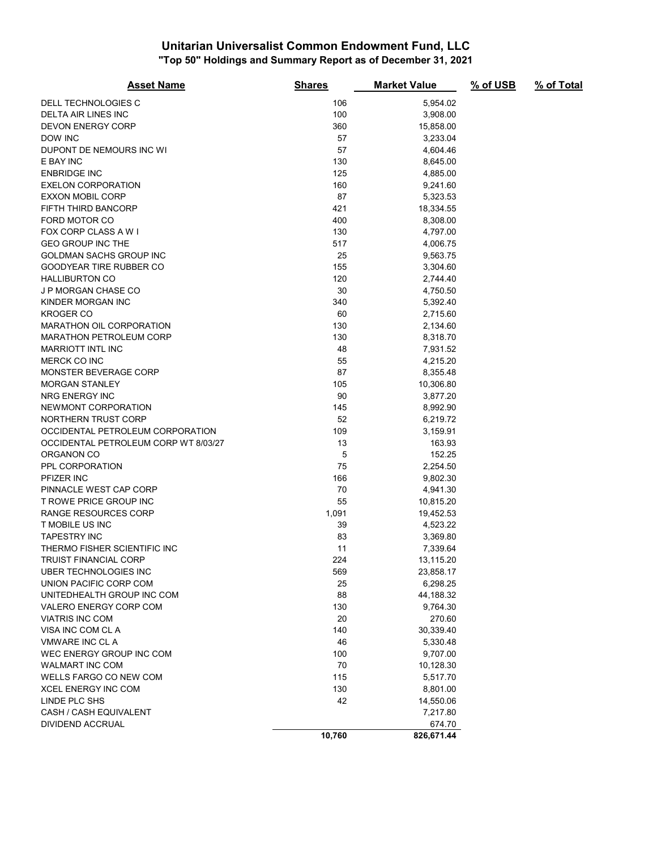#### Unitarian Universalist Common Endowment Fund, LLC "Top 50" Holdings and Summary Report as of December 31, 2021

| <b>Asset Name</b>                    | <b>Shares</b> | <b>Market Value</b> | % of USB | % of Total |
|--------------------------------------|---------------|---------------------|----------|------------|
| DELL TECHNOLOGIES C                  | 106           | 5,954.02            |          |            |
| DELTA AIR LINES INC                  | 100           | 3,908.00            |          |            |
| <b>DEVON ENERGY CORP</b>             | 360           | 15,858.00           |          |            |
| DOW INC                              | 57            | 3,233.04            |          |            |
| DUPONT DE NEMOURS INC WI             | 57            | 4,604.46            |          |            |
| E BAY INC                            | 130           | 8,645.00            |          |            |
| <b>ENBRIDGE INC</b>                  | 125           | 4,885.00            |          |            |
| <b>EXELON CORPORATION</b>            | 160           | 9,241.60            |          |            |
| <b>EXXON MOBIL CORP</b>              | 87            | 5,323.53            |          |            |
| FIFTH THIRD BANCORP                  | 421           | 18,334.55           |          |            |
| FORD MOTOR CO                        | 400           | 8,308.00            |          |            |
| FOX CORP CLASS A W I                 | 130           | 4,797.00            |          |            |
| <b>GEO GROUP INC THE</b>             | 517           | 4,006.75            |          |            |
| GOLDMAN SACHS GROUP INC              | 25            | 9,563.75            |          |            |
| GOODYEAR TIRE RUBBER CO              | 155           | 3,304.60            |          |            |
| <b>HALLIBURTON CO</b>                | 120           | 2,744.40            |          |            |
| <b>J P MORGAN CHASE CO</b>           | 30            | 4,750.50            |          |            |
| KINDER MORGAN INC                    | 340           | 5,392.40            |          |            |
| <b>KROGER CO</b>                     | 60            | 2,715.60            |          |            |
| <b>MARATHON OIL CORPORATION</b>      | 130           | 2,134.60            |          |            |
| <b>MARATHON PETROLEUM CORP</b>       | 130           | 8,318.70            |          |            |
| <b>MARRIOTT INTL INC</b>             | 48            | 7,931.52            |          |            |
| MERCK CO INC                         | 55            | 4,215.20            |          |            |
| MONSTER BEVERAGE CORP                | 87            | 8,355.48            |          |            |
| MORGAN STANLEY                       | 105           | 10,306.80           |          |            |
| <b>NRG ENERGY INC</b>                | 90            | 3,877.20            |          |            |
| NEWMONT CORPORATION                  | 145           | 8,992.90            |          |            |
| NORTHERN TRUST CORP                  | 52            | 6,219.72            |          |            |
| OCCIDENTAL PETROLEUM CORPORATION     | 109           | 3,159.91            |          |            |
| OCCIDENTAL PETROLEUM CORP WT 8/03/27 | 13            | 163.93              |          |            |
| ORGANON CO                           | 5             | 152.25              |          |            |
| PPL CORPORATION                      | 75            | 2,254.50            |          |            |
| PFIZER INC                           | 166           | 9,802.30            |          |            |
| PINNACLE WEST CAP CORP               | 70            | 4,941.30            |          |            |
| <b>T ROWE PRICE GROUP INC</b>        | 55            | 10,815.20           |          |            |
| <b>RANGE RESOURCES CORP</b>          | 1,091         | 19,452.53           |          |            |
| T MOBILE US INC                      | 39            | 4,523.22            |          |            |
| <b>TAPESTRY INC</b>                  | 83            | 3,369.80            |          |            |
| THERMO FISHER SCIENTIFIC INC         | 11            | 7,339.64            |          |            |
| TRUIST FINANCIAL CORP                | 224           | 13,115.20           |          |            |
| UBER TECHNOLOGIES INC                | 569           | 23,858.17           |          |            |
| UNION PACIFIC CORP COM               | 25            | 6,298.25            |          |            |
| UNITEDHEALTH GROUP INC COM           | 88            | 44,188.32           |          |            |
| VALERO ENERGY CORP COM               | 130           | 9,764.30            |          |            |
| <b>VIATRIS INC COM</b>               | 20            | 270.60              |          |            |
| VISA INC COM CL A                    | 140           | 30,339.40           |          |            |
| VMWARE INC CL A                      | 46            | 5,330.48            |          |            |
| WEC ENERGY GROUP INC COM             | 100           | 9,707.00            |          |            |
| WALMART INC COM                      | 70            | 10,128.30           |          |            |
| <b>WELLS FARGO CO NEW COM</b>        | 115           | 5,517.70            |          |            |
| <b>XCEL ENERGY INC COM</b>           | 130           | 8,801.00            |          |            |
| LINDE PLC SHS                        | 42            | 14,550.06           |          |            |
| CASH / CASH EQUIVALENT               |               | 7,217.80            |          |            |
| DIVIDEND ACCRUAL                     |               | 674.70              |          |            |
|                                      | 10,760        | 826,671.44          |          |            |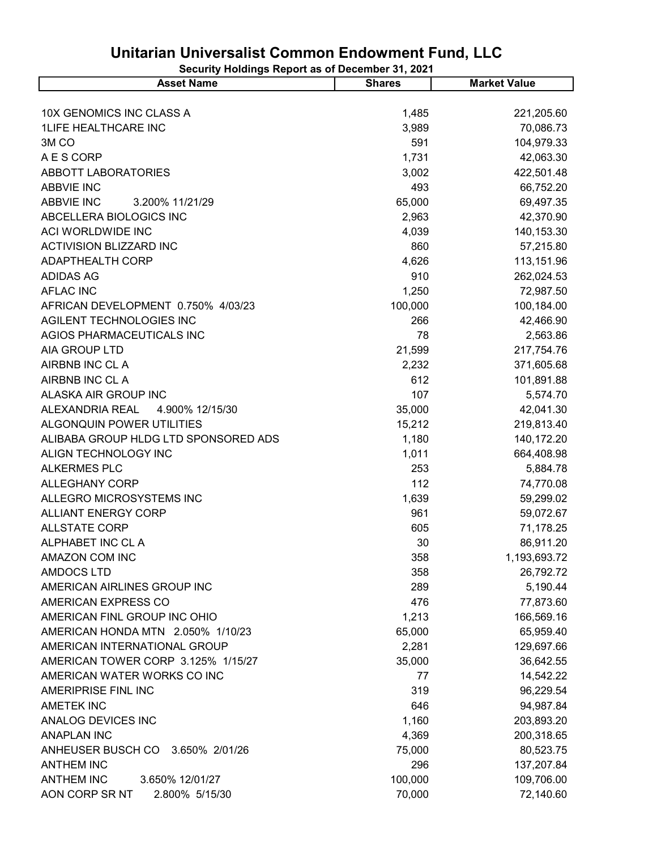| 10X GENOMICS INC CLASS A<br>1,485<br>1LIFE HEALTHCARE INC<br>3,989<br>591<br>3M <sub>CO</sub><br>A E S CORP<br>1,731<br>ABBOTT LABORATORIES<br>3,002<br><b>ABBVIE INC</b><br>493<br><b>ABBVIE INC</b><br>65,000<br>3.200% 11/21/29<br>ABCELLERA BIOLOGICS INC<br>2,963<br>ACI WORLDWIDE INC<br>4,039<br><b>ACTIVISION BLIZZARD INC</b><br>860<br><b>ADAPTHEALTH CORP</b><br>4,626<br><b>ADIDAS AG</b><br>910<br><b>AFLAC INC</b><br>1,250<br>100,000<br>AFRICAN DEVELOPMENT 0.750% 4/03/23<br>AGILENT TECHNOLOGIES INC<br>266 | <b>Asset Name</b> | <b>Shares</b> | <b>Market Value</b> |
|-------------------------------------------------------------------------------------------------------------------------------------------------------------------------------------------------------------------------------------------------------------------------------------------------------------------------------------------------------------------------------------------------------------------------------------------------------------------------------------------------------------------------------|-------------------|---------------|---------------------|
|                                                                                                                                                                                                                                                                                                                                                                                                                                                                                                                               |                   |               |                     |
|                                                                                                                                                                                                                                                                                                                                                                                                                                                                                                                               |                   |               | 221,205.60          |
|                                                                                                                                                                                                                                                                                                                                                                                                                                                                                                                               |                   |               | 70,086.73           |
|                                                                                                                                                                                                                                                                                                                                                                                                                                                                                                                               |                   |               | 104,979.33          |
|                                                                                                                                                                                                                                                                                                                                                                                                                                                                                                                               |                   |               | 42,063.30           |
|                                                                                                                                                                                                                                                                                                                                                                                                                                                                                                                               |                   |               | 422,501.48          |
|                                                                                                                                                                                                                                                                                                                                                                                                                                                                                                                               |                   |               | 66,752.20           |
|                                                                                                                                                                                                                                                                                                                                                                                                                                                                                                                               |                   |               | 69,497.35           |
|                                                                                                                                                                                                                                                                                                                                                                                                                                                                                                                               |                   |               | 42,370.90           |
|                                                                                                                                                                                                                                                                                                                                                                                                                                                                                                                               |                   |               | 140,153.30          |
|                                                                                                                                                                                                                                                                                                                                                                                                                                                                                                                               |                   |               | 57,215.80           |
|                                                                                                                                                                                                                                                                                                                                                                                                                                                                                                                               |                   |               | 113,151.96          |
|                                                                                                                                                                                                                                                                                                                                                                                                                                                                                                                               |                   |               | 262,024.53          |
|                                                                                                                                                                                                                                                                                                                                                                                                                                                                                                                               |                   |               | 72,987.50           |
|                                                                                                                                                                                                                                                                                                                                                                                                                                                                                                                               |                   |               | 100,184.00          |
|                                                                                                                                                                                                                                                                                                                                                                                                                                                                                                                               |                   |               | 42,466.90           |
| AGIOS PHARMACEUTICALS INC<br>78                                                                                                                                                                                                                                                                                                                                                                                                                                                                                               |                   |               | 2,563.86            |
| AIA GROUP LTD<br>21,599                                                                                                                                                                                                                                                                                                                                                                                                                                                                                                       |                   |               | 217,754.76          |
| AIRBNB INC CL A<br>2,232                                                                                                                                                                                                                                                                                                                                                                                                                                                                                                      |                   |               | 371,605.68          |
| AIRBNB INC CL A<br>612                                                                                                                                                                                                                                                                                                                                                                                                                                                                                                        |                   |               | 101,891.88          |
| 107<br>ALASKA AIR GROUP INC                                                                                                                                                                                                                                                                                                                                                                                                                                                                                                   |                   |               | 5,574.70            |
| ALEXANDRIA REAL<br>4.900% 12/15/30<br>35,000                                                                                                                                                                                                                                                                                                                                                                                                                                                                                  |                   |               | 42,041.30           |
| ALGONQUIN POWER UTILITIES<br>15,212                                                                                                                                                                                                                                                                                                                                                                                                                                                                                           |                   |               | 219,813.40          |
| ALIBABA GROUP HLDG LTD SPONSORED ADS<br>1,180                                                                                                                                                                                                                                                                                                                                                                                                                                                                                 |                   |               | 140,172.20          |
| ALIGN TECHNOLOGY INC<br>1,011                                                                                                                                                                                                                                                                                                                                                                                                                                                                                                 |                   |               | 664,408.98          |
| <b>ALKERMES PLC</b><br>253                                                                                                                                                                                                                                                                                                                                                                                                                                                                                                    |                   |               | 5,884.78            |
| 112<br><b>ALLEGHANY CORP</b>                                                                                                                                                                                                                                                                                                                                                                                                                                                                                                  |                   |               | 74,770.08           |
| 1,639<br>ALLEGRO MICROSYSTEMS INC                                                                                                                                                                                                                                                                                                                                                                                                                                                                                             |                   |               | 59,299.02           |
| 961<br><b>ALLIANT ENERGY CORP</b>                                                                                                                                                                                                                                                                                                                                                                                                                                                                                             |                   |               | 59,072.67           |
| 605<br><b>ALLSTATE CORP</b>                                                                                                                                                                                                                                                                                                                                                                                                                                                                                                   |                   |               | 71,178.25           |
| ALPHABET INC CL A<br>30                                                                                                                                                                                                                                                                                                                                                                                                                                                                                                       |                   |               | 86,911.20           |
| AMAZON COM INC<br>358                                                                                                                                                                                                                                                                                                                                                                                                                                                                                                         |                   |               | 1,193,693.72        |
| <b>AMDOCS LTD</b><br>358                                                                                                                                                                                                                                                                                                                                                                                                                                                                                                      |                   |               | 26,792.72           |
| 289<br>AMERICAN AIRLINES GROUP INC                                                                                                                                                                                                                                                                                                                                                                                                                                                                                            |                   |               | 5,190.44            |
| AMERICAN EXPRESS CO<br>476                                                                                                                                                                                                                                                                                                                                                                                                                                                                                                    |                   |               | 77,873.60           |
| AMERICAN FINL GROUP INC OHIO<br>1,213                                                                                                                                                                                                                                                                                                                                                                                                                                                                                         |                   |               | 166,569.16          |
| AMERICAN HONDA MTN 2.050% 1/10/23<br>65,000                                                                                                                                                                                                                                                                                                                                                                                                                                                                                   |                   |               | 65,959.40           |
| 2,281<br>AMERICAN INTERNATIONAL GROUP                                                                                                                                                                                                                                                                                                                                                                                                                                                                                         |                   |               | 129,697.66          |
| AMERICAN TOWER CORP 3.125% 1/15/27<br>35,000                                                                                                                                                                                                                                                                                                                                                                                                                                                                                  |                   |               | 36,642.55           |
| AMERICAN WATER WORKS CO INC<br>77                                                                                                                                                                                                                                                                                                                                                                                                                                                                                             |                   |               | 14,542.22           |
| AMERIPRISE FINL INC<br>319                                                                                                                                                                                                                                                                                                                                                                                                                                                                                                    |                   |               | 96,229.54           |
| <b>AMETEK INC</b><br>646                                                                                                                                                                                                                                                                                                                                                                                                                                                                                                      |                   |               | 94,987.84           |
| ANALOG DEVICES INC<br>1,160                                                                                                                                                                                                                                                                                                                                                                                                                                                                                                   |                   |               | 203,893.20          |
| <b>ANAPLAN INC</b><br>4,369                                                                                                                                                                                                                                                                                                                                                                                                                                                                                                   |                   |               | 200,318.65          |
| ANHEUSER BUSCH CO 3.650% 2/01/26<br>75,000                                                                                                                                                                                                                                                                                                                                                                                                                                                                                    |                   |               | 80,523.75           |
| <b>ANTHEM INC</b><br>296                                                                                                                                                                                                                                                                                                                                                                                                                                                                                                      |                   |               | 137,207.84          |
| 100,000<br><b>ANTHEM INC</b><br>3.650% 12/01/27                                                                                                                                                                                                                                                                                                                                                                                                                                                                               |                   |               | 109,706.00          |
| AON CORP SR NT<br>2.800% 5/15/30<br>70,000                                                                                                                                                                                                                                                                                                                                                                                                                                                                                    |                   |               | 72,140.60           |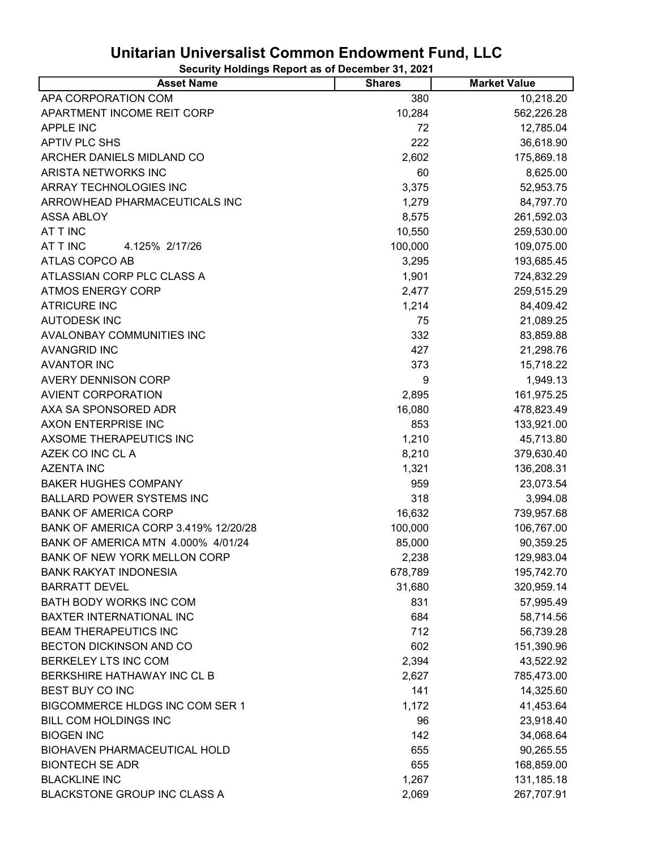| <b>Asset Name</b>                    | <b>Shares</b> | <b>Market Value</b> |
|--------------------------------------|---------------|---------------------|
| APA CORPORATION COM                  | 380           | 10,218.20           |
| APARTMENT INCOME REIT CORP           | 10,284        | 562,226.28          |
| <b>APPLE INC</b>                     | 72            | 12,785.04           |
| <b>APTIV PLC SHS</b>                 | 222           | 36,618.90           |
| ARCHER DANIELS MIDLAND CO            | 2,602         | 175,869.18          |
| ARISTA NETWORKS INC                  | 60            | 8,625.00            |
| ARRAY TECHNOLOGIES INC               | 3,375         | 52,953.75           |
| ARROWHEAD PHARMACEUTICALS INC        | 1,279         | 84,797.70           |
| <b>ASSA ABLOY</b>                    | 8,575         | 261,592.03          |
| AT T INC                             | 10,550        | 259,530.00          |
| AT T INC<br>4.125% 2/17/26           | 100,000       | 109,075.00          |
| ATLAS COPCO AB                       | 3,295         | 193,685.45          |
| ATLASSIAN CORP PLC CLASS A           | 1,901         | 724,832.29          |
| <b>ATMOS ENERGY CORP</b>             | 2,477         | 259,515.29          |
| <b>ATRICURE INC</b>                  | 1,214         | 84,409.42           |
| <b>AUTODESK INC</b>                  | 75            | 21,089.25           |
| AVALONBAY COMMUNITIES INC            | 332           | 83,859.88           |
| <b>AVANGRID INC</b>                  | 427           | 21,298.76           |
| <b>AVANTOR INC</b>                   | 373           | 15,718.22           |
| <b>AVERY DENNISON CORP</b>           | 9             | 1,949.13            |
| <b>AVIENT CORPORATION</b>            | 2,895         | 161,975.25          |
| AXA SA SPONSORED ADR                 | 16,080        | 478,823.49          |
| AXON ENTERPRISE INC                  | 853           | 133,921.00          |
| AXSOME THERAPEUTICS INC              | 1,210         | 45,713.80           |
| AZEK CO INC CL A                     | 8,210         | 379,630.40          |
| <b>AZENTA INC</b>                    | 1,321         | 136,208.31          |
| <b>BAKER HUGHES COMPANY</b>          | 959           | 23,073.54           |
| <b>BALLARD POWER SYSTEMS INC</b>     | 318           | 3,994.08            |
| <b>BANK OF AMERICA CORP</b>          | 16,632        | 739,957.68          |
| BANK OF AMERICA CORP 3.419% 12/20/28 | 100,000       | 106,767.00          |
| BANK OF AMERICA MTN 4.000% 4/01/24   | 85,000        | 90,359.25           |
| BANK OF NEW YORK MELLON CORP         | 2,238         | 129,983.04          |
| <b>BANK RAKYAT INDONESIA</b>         | 678,789       | 195,742.70          |
| <b>BARRATT DEVEL</b>                 | 31,680        | 320,959.14          |
| BATH BODY WORKS INC COM              | 831           | 57,995.49           |
| BAXTER INTERNATIONAL INC             | 684           | 58,714.56           |
| <b>BEAM THERAPEUTICS INC</b>         | 712           | 56,739.28           |
| BECTON DICKINSON AND CO              | 602           | 151,390.96          |
| BERKELEY LTS INC COM                 | 2,394         | 43,522.92           |
| BERKSHIRE HATHAWAY INC CL B          | 2,627         | 785,473.00          |
| BEST BUY CO INC                      | 141           | 14,325.60           |
| BIGCOMMERCE HLDGS INC COM SER 1      | 1,172         | 41,453.64           |
| <b>BILL COM HOLDINGS INC</b>         | 96            | 23,918.40           |
| <b>BIOGEN INC</b>                    | 142           | 34,068.64           |
| BIOHAVEN PHARMACEUTICAL HOLD         | 655           | 90,265.55           |
| <b>BIONTECH SE ADR</b>               | 655           | 168,859.00          |
| <b>BLACKLINE INC</b>                 | 1,267         | 131,185.18          |
| BLACKSTONE GROUP INC CLASS A         | 2,069         | 267,707.91          |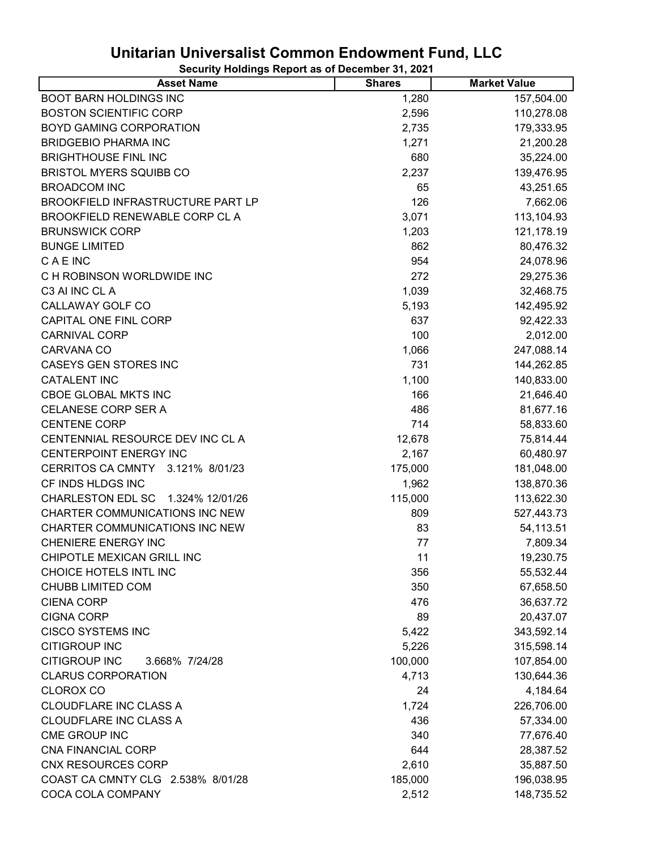| <b>Asset Name</b>                          | <b>Shares</b> | <b>Market Value</b> |
|--------------------------------------------|---------------|---------------------|
| <b>BOOT BARN HOLDINGS INC</b>              | 1,280         | 157,504.00          |
| <b>BOSTON SCIENTIFIC CORP</b>              | 2,596         | 110,278.08          |
| BOYD GAMING CORPORATION                    | 2,735         | 179,333.95          |
| <b>BRIDGEBIO PHARMA INC</b>                | 1,271         | 21,200.28           |
| <b>BRIGHTHOUSE FINL INC</b>                | 680           | 35,224.00           |
| <b>BRISTOL MYERS SQUIBB CO</b>             | 2,237         | 139,476.95          |
| <b>BROADCOM INC</b>                        | 65            | 43,251.65           |
| BROOKFIELD INFRASTRUCTURE PART LP          | 126           | 7,662.06            |
| BROOKFIELD RENEWABLE CORP CL A             | 3,071         | 113,104.93          |
| <b>BRUNSWICK CORP</b>                      | 1,203         | 121,178.19          |
| <b>BUNGE LIMITED</b>                       | 862           | 80,476.32           |
| <b>CAEINC</b>                              | 954           | 24,078.96           |
| C H ROBINSON WORLDWIDE INC                 | 272           | 29,275.36           |
| C3 AI INC CL A                             | 1,039         | 32,468.75           |
| CALLAWAY GOLF CO                           | 5,193         | 142,495.92          |
| CAPITAL ONE FINL CORP                      | 637           | 92,422.33           |
| <b>CARNIVAL CORP</b>                       | 100           | 2,012.00            |
| CARVANA CO                                 | 1,066         | 247,088.14          |
| CASEYS GEN STORES INC                      | 731           | 144,262.85          |
| <b>CATALENT INC</b>                        | 1,100         | 140,833.00          |
| <b>CBOE GLOBAL MKTS INC</b>                | 166           | 21,646.40           |
| CELANESE CORP SER A                        | 486           | 81,677.16           |
| <b>CENTENE CORP</b>                        | 714           | 58,833.60           |
| CENTENNIAL RESOURCE DEV INC CL A           | 12,678        | 75,814.44           |
| CENTERPOINT ENERGY INC                     | 2,167         | 60,480.97           |
| 3.121% 8/01/23<br><b>CERRITOS CA CMNTY</b> | 175,000       | 181,048.00          |
| CF INDS HLDGS INC                          | 1,962         | 138,870.36          |
| CHARLESTON EDL SC 1.324% 12/01/26          | 115,000       | 113,622.30          |
| <b>CHARTER COMMUNICATIONS INC NEW</b>      | 809           | 527,443.73          |
| <b>CHARTER COMMUNICATIONS INC NEW</b>      | 83            | 54,113.51           |
| <b>CHENIERE ENERGY INC</b>                 | 77            | 7,809.34            |
| CHIPOTLE MEXICAN GRILL INC                 | 11            | 19,230.75           |
| CHOICE HOTELS INTL INC                     | 356           | 55,532.44           |
| <b>CHUBB LIMITED COM</b>                   | 350           | 67,658.50           |
| <b>CIENA CORP</b>                          | 476           | 36,637.72           |
| <b>CIGNA CORP</b>                          | 89            | 20,437.07           |
| <b>CISCO SYSTEMS INC</b>                   | 5,422         | 343,592.14          |
| <b>CITIGROUP INC</b>                       | 5,226         | 315,598.14          |
| <b>CITIGROUP INC</b><br>3.668% 7/24/28     | 100,000       | 107,854.00          |
| <b>CLARUS CORPORATION</b>                  | 4,713         | 130,644.36          |
| <b>CLOROX CO</b>                           | 24            | 4,184.64            |
| <b>CLOUDFLARE INC CLASS A</b>              | 1,724         | 226,706.00          |
| CLOUDFLARE INC CLASS A                     | 436           | 57,334.00           |
| CME GROUP INC                              | 340           | 77,676.40           |
| <b>CNA FINANCIAL CORP</b>                  | 644           | 28,387.52           |
| <b>CNX RESOURCES CORP</b>                  | 2,610         | 35,887.50           |
| COAST CA CMNTY CLG 2.538% 8/01/28          | 185,000       | 196,038.95          |
| COCA COLA COMPANY                          | 2,512         | 148,735.52          |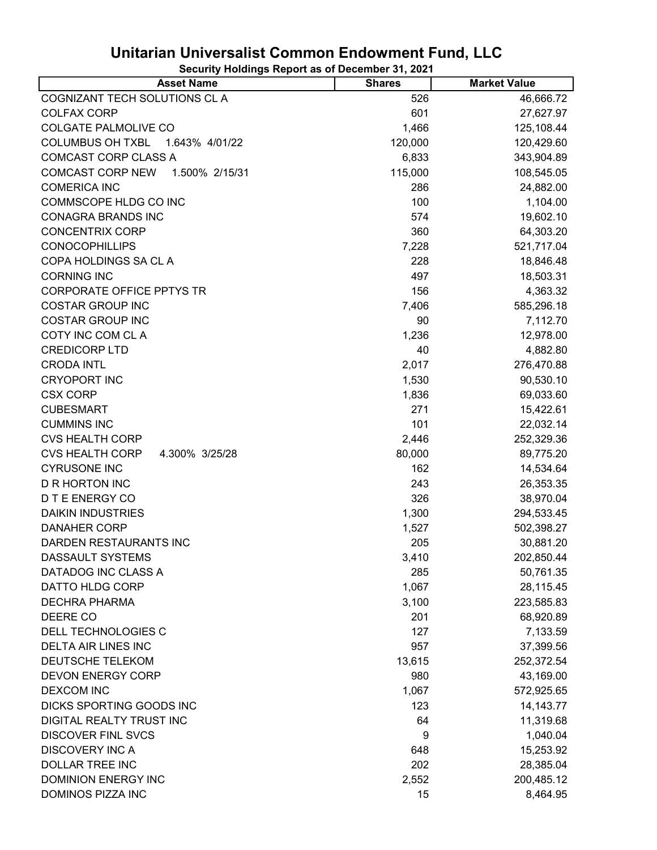| <b>Asset Name</b>                         | <b>Shares</b> | <b>Market Value</b> |
|-------------------------------------------|---------------|---------------------|
| COGNIZANT TECH SOLUTIONS CL A             | 526           | 46,666.72           |
| <b>COLFAX CORP</b>                        | 601           | 27,627.97           |
| <b>COLGATE PALMOLIVE CO</b>               | 1,466         | 125,108.44          |
| <b>COLUMBUS OH TXBL</b><br>1.643% 4/01/22 | 120,000       | 120,429.60          |
| COMCAST CORP CLASS A                      | 6,833         | 343,904.89          |
| <b>COMCAST CORP NEW</b><br>1.500% 2/15/31 | 115,000       | 108,545.05          |
| <b>COMERICA INC</b>                       | 286           | 24,882.00           |
| COMMSCOPE HLDG CO INC                     | 100           | 1,104.00            |
| <b>CONAGRA BRANDS INC</b>                 | 574           | 19,602.10           |
| <b>CONCENTRIX CORP</b>                    | 360           | 64,303.20           |
| <b>CONOCOPHILLIPS</b>                     | 7,228         | 521,717.04          |
| COPA HOLDINGS SA CL A                     | 228           | 18,846.48           |
| <b>CORNING INC</b>                        | 497           | 18,503.31           |
| <b>CORPORATE OFFICE PPTYS TR</b>          | 156           | 4,363.32            |
| <b>COSTAR GROUP INC</b>                   | 7,406         | 585,296.18          |
| <b>COSTAR GROUP INC</b>                   | 90            | 7,112.70            |
| COTY INC COM CL A                         | 1,236         | 12,978.00           |
| <b>CREDICORP LTD</b>                      | 40            | 4,882.80            |
| <b>CRODA INTL</b>                         | 2,017         | 276,470.88          |
| <b>CRYOPORT INC</b>                       | 1,530         | 90,530.10           |
| <b>CSX CORP</b>                           | 1,836         | 69,033.60           |
| <b>CUBESMART</b>                          | 271           | 15,422.61           |
| <b>CUMMINS INC</b>                        | 101           | 22,032.14           |
| <b>CVS HEALTH CORP</b>                    | 2,446         | 252,329.36          |
| <b>CVS HEALTH CORP</b><br>4.300% 3/25/28  | 80,000        | 89,775.20           |
| <b>CYRUSONE INC</b>                       | 162           | 14,534.64           |
| <b>D R HORTON INC</b>                     | 243           | 26,353.35           |
| <b>DTE ENERGY CO</b>                      | 326           | 38,970.04           |
| <b>DAIKIN INDUSTRIES</b>                  | 1,300         | 294,533.45          |
| <b>DANAHER CORP</b>                       | 1,527         | 502,398.27          |
| DARDEN RESTAURANTS INC                    | 205           | 30,881.20           |
| DASSAULT SYSTEMS                          | 3,410         | 202,850.44          |
| DATADOG INC CLASS A                       | 285           | 50,761.35           |
| DATTO HLDG CORP                           | 1,067         | 28,115.45           |
| <b>DECHRA PHARMA</b>                      | 3,100         | 223,585.83          |
| DEERE CO                                  | 201           | 68,920.89           |
| DELL TECHNOLOGIES C                       | 127           | 7,133.59            |
| <b>DELTA AIR LINES INC</b>                | 957           | 37,399.56           |
| DEUTSCHE TELEKOM                          | 13,615        | 252,372.54          |
| <b>DEVON ENERGY CORP</b>                  | 980           | 43,169.00           |
| <b>DEXCOM INC</b>                         | 1,067         | 572,925.65          |
| DICKS SPORTING GOODS INC                  | 123           | 14, 143. 77         |
| DIGITAL REALTY TRUST INC                  | 64            | 11,319.68           |
| <b>DISCOVER FINL SVCS</b>                 | 9             | 1,040.04            |
| <b>DISCOVERY INC A</b>                    | 648           | 15,253.92           |
| <b>DOLLAR TREE INC</b>                    | 202           | 28,385.04           |
| <b>DOMINION ENERGY INC</b>                | 2,552         | 200,485.12          |
| DOMINOS PIZZA INC                         | 15            | 8,464.95            |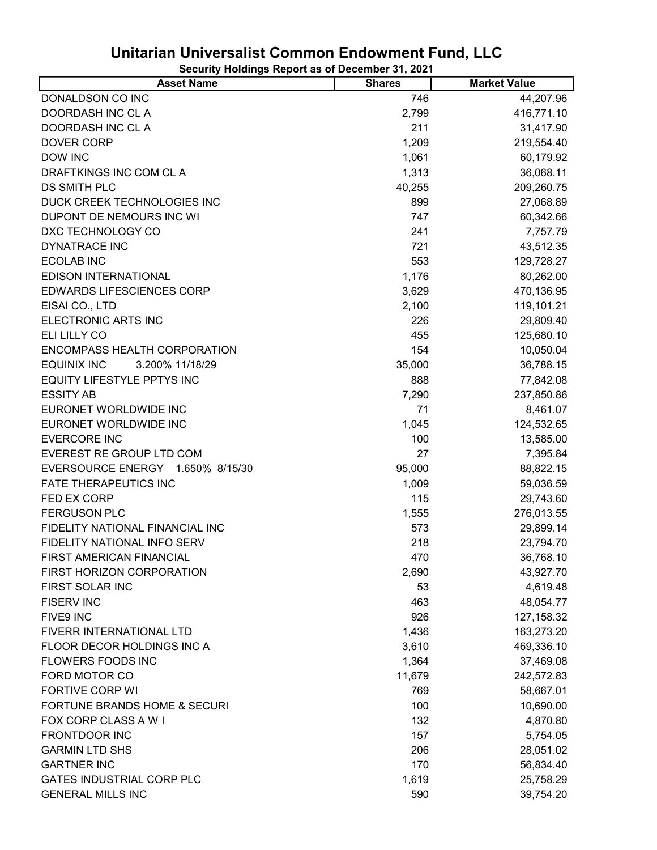| <b>Asset Name</b>                     | <b>Shares</b> | <b>Market Value</b> |
|---------------------------------------|---------------|---------------------|
| DONALDSON CO INC                      | 746           | 44,207.96           |
| DOORDASH INC CLA                      | 2,799         | 416,771.10          |
| DOORDASH INC CL A                     | 211           | 31,417.90           |
| <b>DOVER CORP</b>                     | 1,209         | 219,554.40          |
| <b>DOW INC</b>                        | 1,061         | 60,179.92           |
| DRAFTKINGS INC COM CL A               | 1,313         | 36,068.11           |
| DS SMITH PLC                          | 40,255        | 209,260.75          |
| DUCK CREEK TECHNOLOGIES INC           | 899           | 27,068.89           |
| DUPONT DE NEMOURS INC WI              | 747           | 60,342.66           |
| DXC TECHNOLOGY CO                     | 241           | 7,757.79            |
| <b>DYNATRACE INC</b>                  | 721           | 43,512.35           |
| <b>ECOLAB INC</b>                     | 553           | 129,728.27          |
| EDISON INTERNATIONAL                  | 1,176         | 80,262.00           |
| <b>EDWARDS LIFESCIENCES CORP</b>      | 3,629         | 470,136.95          |
| EISAI CO., LTD                        | 2,100         | 119,101.21          |
| ELECTRONIC ARTS INC                   | 226           | 29,809.40           |
| ELI LILLY CO                          | 455           | 125,680.10          |
| ENCOMPASS HEALTH CORPORATION          | 154           | 10,050.04           |
| <b>EQUINIX INC</b><br>3.200% 11/18/29 | 35,000        | 36,788.15           |
| EQUITY LIFESTYLE PPTYS INC            | 888           | 77,842.08           |
| <b>ESSITY AB</b>                      | 7,290         | 237,850.86          |
| EURONET WORLDWIDE INC                 | 71            | 8,461.07            |
| EURONET WORLDWIDE INC                 | 1,045         | 124,532.65          |
| <b>EVERCORE INC</b>                   | 100           | 13,585.00           |
| EVEREST RE GROUP LTD COM              | 27            | 7,395.84            |
| EVERSOURCE ENERGY 1.650% 8/15/30      | 95,000        | 88,822.15           |
| <b>FATE THERAPEUTICS INC</b>          | 1,009         | 59,036.59           |
| FED EX CORP                           | 115           | 29,743.60           |
| <b>FERGUSON PLC</b>                   | 1,555         | 276,013.55          |
| FIDELITY NATIONAL FINANCIAL INC       | 573           | 29,899.14           |
| FIDELITY NATIONAL INFO SERV           | 218           | 23,794.70           |
| FIRST AMERICAN FINANCIAL              | 470           | 36,768.10           |
| FIRST HORIZON CORPORATION             | 2,690         | 43,927.70           |
| FIRST SOLAR INC                       | 53            | 4,619.48            |
| <b>FISERV INC</b>                     | 463           | 48,054.77           |
| FIVE9 INC                             | 926           | 127, 158.32         |
| FIVERR INTERNATIONAL LTD              | 1,436         | 163,273.20          |
| FLOOR DECOR HOLDINGS INC A            | 3,610         | 469,336.10          |
| <b>FLOWERS FOODS INC</b>              | 1,364         | 37,469.08           |
| FORD MOTOR CO                         | 11,679        | 242,572.83          |
| <b>FORTIVE CORP WI</b>                | 769           | 58,667.01           |
| FORTUNE BRANDS HOME & SECURI          | 100           | 10,690.00           |
| FOX CORP CLASS A W I                  | 132           | 4,870.80            |
| <b>FRONTDOOR INC</b>                  | 157           | 5,754.05            |
| <b>GARMIN LTD SHS</b>                 | 206           | 28,051.02           |
| <b>GARTNER INC</b>                    | 170           | 56,834.40           |
| <b>GATES INDUSTRIAL CORP PLC</b>      | 1,619         | 25,758.29           |
| <b>GENERAL MILLS INC</b>              | 590           | 39,754.20           |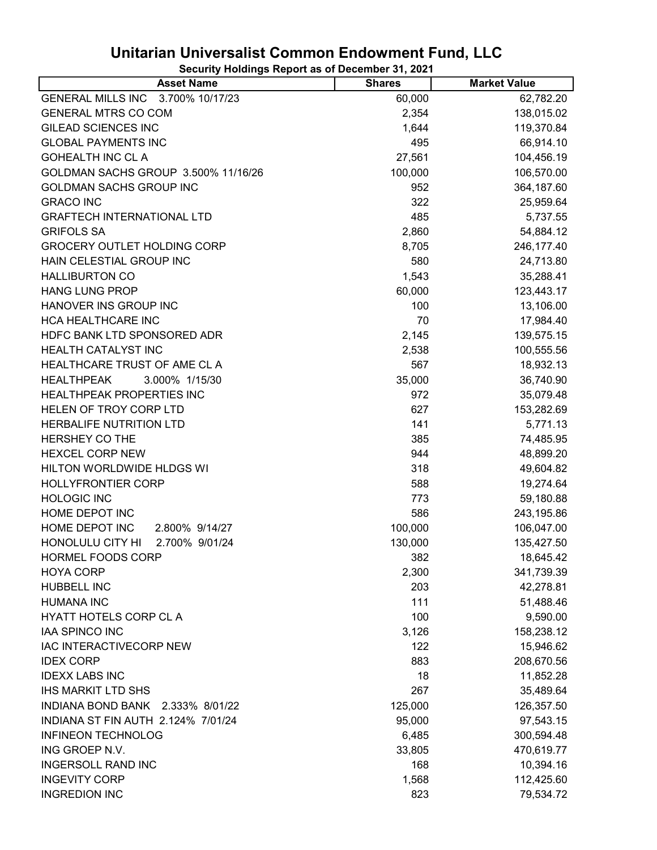| <b>Asset Name</b>                           | <b>Shares</b> | <b>Market Value</b> |
|---------------------------------------------|---------------|---------------------|
| 3.700% 10/17/23<br><b>GENERAL MILLS INC</b> | 60,000        | 62,782.20           |
| <b>GENERAL MTRS CO COM</b>                  | 2,354         | 138,015.02          |
| <b>GILEAD SCIENCES INC</b>                  | 1,644         | 119,370.84          |
| <b>GLOBAL PAYMENTS INC</b>                  | 495           | 66,914.10           |
| <b>GOHEALTH INC CL A</b>                    | 27,561        | 104,456.19          |
| GOLDMAN SACHS GROUP 3.500% 11/16/26         | 100,000       | 106,570.00          |
| <b>GOLDMAN SACHS GROUP INC</b>              | 952           | 364,187.60          |
| <b>GRACO INC</b>                            | 322           | 25,959.64           |
| <b>GRAFTECH INTERNATIONAL LTD</b>           | 485           | 5,737.55            |
| <b>GRIFOLS SA</b>                           | 2,860         | 54,884.12           |
| <b>GROCERY OUTLET HOLDING CORP</b>          | 8,705         | 246, 177.40         |
| HAIN CELESTIAL GROUP INC                    | 580           | 24,713.80           |
| <b>HALLIBURTON CO</b>                       | 1,543         | 35,288.41           |
| <b>HANG LUNG PROP</b>                       | 60,000        | 123,443.17          |
| HANOVER INS GROUP INC                       | 100           | 13,106.00           |
| HCA HEALTHCARE INC                          | 70            | 17,984.40           |
| HDFC BANK LTD SPONSORED ADR                 | 2,145         | 139,575.15          |
| <b>HEALTH CATALYST INC</b>                  | 2,538         | 100,555.56          |
| HEALTHCARE TRUST OF AME CL A                | 567           | 18,932.13           |
| <b>HEALTHPEAK</b><br>3.000% 1/15/30         | 35,000        | 36,740.90           |
| <b>HEALTHPEAK PROPERTIES INC</b>            | 972           | 35,079.48           |
| HELEN OF TROY CORP LTD                      | 627           | 153,282.69          |
| HERBALIFE NUTRITION LTD                     | 141           | 5,771.13            |
| <b>HERSHEY CO THE</b>                       | 385           | 74,485.95           |
| <b>HEXCEL CORP NEW</b>                      | 944           | 48,899.20           |
| HILTON WORLDWIDE HLDGS WI                   | 318           | 49,604.82           |
| <b>HOLLYFRONTIER CORP</b>                   | 588           | 19,274.64           |
| <b>HOLOGIC INC</b>                          | 773           | 59,180.88           |
| HOME DEPOT INC                              | 586           | 243,195.86          |
| HOME DEPOT INC<br>2.800% 9/14/27            | 100,000       | 106,047.00          |
| HONOLULU CITY HI<br>2.700% 9/01/24          | 130,000       | 135,427.50          |
| HORMEL FOODS CORP                           | 382           | 18,645.42           |
| <b>HOYA CORP</b>                            | 2,300         | 341,739.39          |
| HUBBELL INC                                 | 203           | 42,278.81           |
| <b>HUMANA INC</b>                           | 111           | 51,488.46           |
| <b>HYATT HOTELS CORP CL A</b>               | 100           | 9,590.00            |
| <b>IAA SPINCO INC</b>                       | 3,126         | 158,238.12          |
| IAC INTERACTIVECORP NEW                     | 122           | 15,946.62           |
| <b>IDEX CORP</b>                            | 883           | 208,670.56          |
| <b>IDEXX LABS INC</b>                       | 18            | 11,852.28           |
| <b>IHS MARKIT LTD SHS</b>                   | 267           | 35,489.64           |
| INDIANA BOND BANK<br>2.333% 8/01/22         | 125,000       | 126,357.50          |
| INDIANA ST FIN AUTH 2.124% 7/01/24          | 95,000        | 97,543.15           |
| <b>INFINEON TECHNOLOG</b>                   | 6,485         | 300,594.48          |
| ING GROEP N.V.                              | 33,805        | 470,619.77          |
| <b>INGERSOLL RAND INC</b>                   | 168           | 10,394.16           |
| <b>INGEVITY CORP</b>                        | 1,568         | 112,425.60          |
| <b>INGREDION INC</b>                        | 823           | 79,534.72           |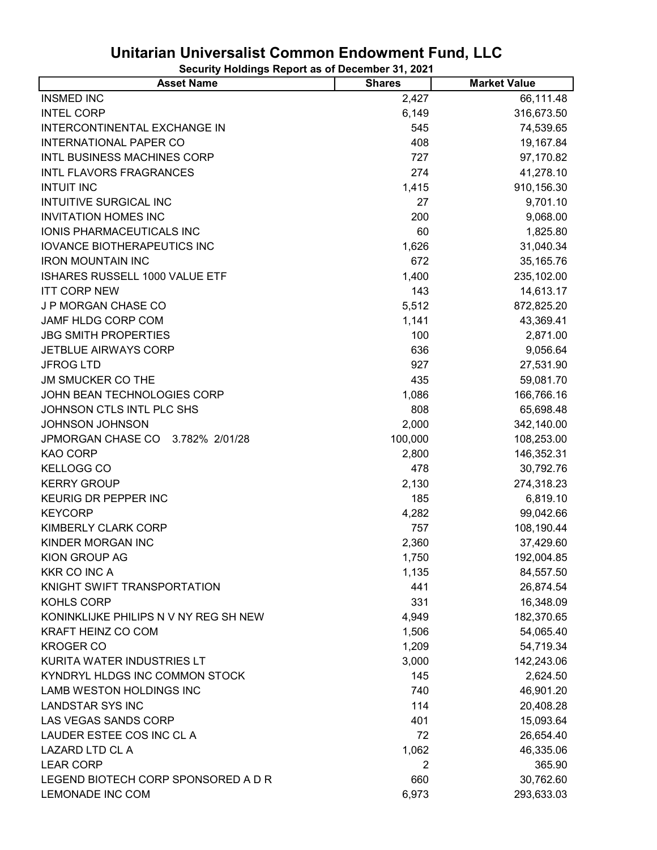| <b>Asset Name</b>                     | <b>Shares</b> | <b>Market Value</b> |
|---------------------------------------|---------------|---------------------|
| <b>INSMED INC</b>                     | 2,427         | 66,111.48           |
| <b>INTEL CORP</b>                     | 6,149         | 316,673.50          |
| INTERCONTINENTAL EXCHANGE IN          | 545           | 74,539.65           |
| <b>INTERNATIONAL PAPER CO</b>         | 408           | 19,167.84           |
| INTL BUSINESS MACHINES CORP           | 727           | 97,170.82           |
| <b>INTL FLAVORS FRAGRANCES</b>        | 274           | 41,278.10           |
| <b>INTUIT INC</b>                     | 1,415         | 910,156.30          |
| <b>INTUITIVE SURGICAL INC</b>         | 27            | 9,701.10            |
| <b>INVITATION HOMES INC</b>           | 200           | 9,068.00            |
| IONIS PHARMACEUTICALS INC             | 60            | 1,825.80            |
| <b>IOVANCE BIOTHERAPEUTICS INC</b>    | 1,626         | 31,040.34           |
| <b>IRON MOUNTAIN INC</b>              | 672           | 35,165.76           |
| ISHARES RUSSELL 1000 VALUE ETF        | 1,400         | 235,102.00          |
| <b>ITT CORP NEW</b>                   | 143           | 14,613.17           |
| J P MORGAN CHASE CO                   | 5,512         | 872,825.20          |
| JAMF HLDG CORP COM                    | 1,141         | 43,369.41           |
| <b>JBG SMITH PROPERTIES</b>           | 100           | 2,871.00            |
| JETBLUE AIRWAYS CORP                  | 636           | 9,056.64            |
| <b>JFROG LTD</b>                      | 927           | 27,531.90           |
| <b>JM SMUCKER CO THE</b>              | 435           | 59,081.70           |
| JOHN BEAN TECHNOLOGIES CORP           | 1,086         | 166,766.16          |
| JOHNSON CTLS INTL PLC SHS             | 808           | 65,698.48           |
| <b>JOHNSON JOHNSON</b>                | 2,000         | 342,140.00          |
| JPMORGAN CHASE CO<br>3.782% 2/01/28   | 100,000       | 108,253.00          |
| KAO CORP                              | 2,800         | 146,352.31          |
| <b>KELLOGG CO</b>                     | 478           | 30,792.76           |
| <b>KERRY GROUP</b>                    | 2,130         | 274,318.23          |
| KEURIG DR PEPPER INC                  | 185           | 6,819.10            |
| <b>KEYCORP</b>                        | 4,282         | 99,042.66           |
| <b>KIMBERLY CLARK CORP</b>            | 757           | 108,190.44          |
| KINDER MORGAN INC                     | 2,360         | 37,429.60           |
| KION GROUP AG                         | 1,750         | 192,004.85          |
| <b>KKR CO INC A</b>                   | 1,135         | 84,557.50           |
| KNIGHT SWIFT TRANSPORTATION           | 441           | 26,874.54           |
| KOHLS CORP                            | 331           | 16,348.09           |
| KONINKLIJKE PHILIPS N V NY REG SH NEW | 4,949         | 182,370.65          |
| KRAFT HEINZ CO COM                    | 1,506         | 54,065.40           |
| <b>KROGER CO</b>                      | 1,209         | 54,719.34           |
| KURITA WATER INDUSTRIES LT            | 3,000         | 142,243.06          |
| KYNDRYL HLDGS INC COMMON STOCK        | 145           | 2,624.50            |
| LAMB WESTON HOLDINGS INC              | 740           | 46,901.20           |
| <b>LANDSTAR SYS INC</b>               | 114           | 20,408.28           |
| LAS VEGAS SANDS CORP                  | 401           | 15,093.64           |
| LAUDER ESTEE COS INC CL A             | 72            | 26,654.40           |
| LAZARD LTD CL A                       | 1,062         | 46,335.06           |
| <b>LEAR CORP</b>                      | 2             | 365.90              |
| LEGEND BIOTECH CORP SPONSORED A D R   | 660           | 30,762.60           |
| LEMONADE INC COM                      | 6,973         | 293,633.03          |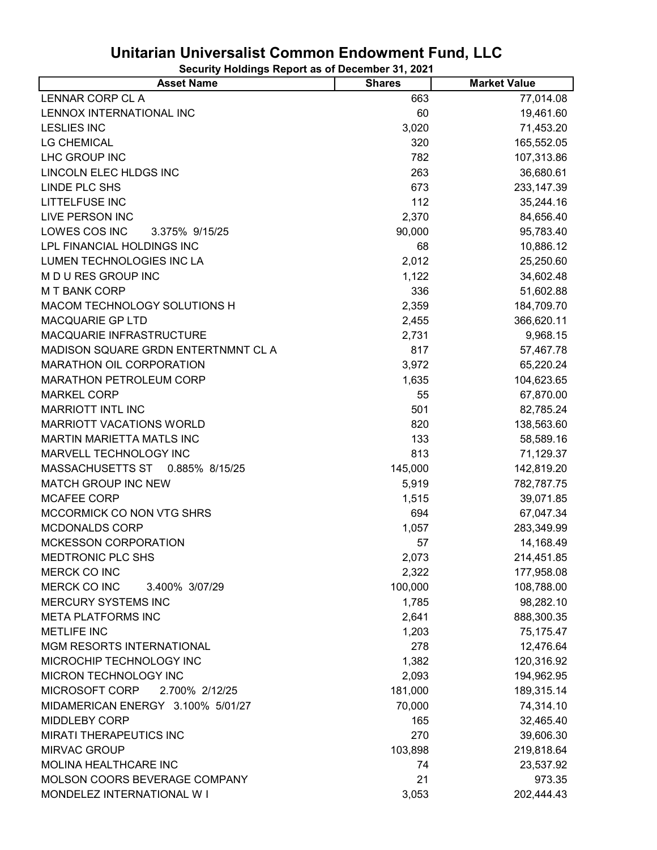| <b>Asset Name</b>                   | <b>Shares</b> | <b>Market Value</b> |
|-------------------------------------|---------------|---------------------|
| LENNAR CORP CL A                    | 663           | 77,014.08           |
| LENNOX INTERNATIONAL INC            | 60            | 19,461.60           |
| <b>LESLIES INC</b>                  | 3,020         | 71,453.20           |
| <b>LG CHEMICAL</b>                  | 320           | 165,552.05          |
| LHC GROUP INC                       | 782           | 107,313.86          |
| LINCOLN ELEC HLDGS INC              | 263           | 36,680.61           |
| <b>LINDE PLC SHS</b>                | 673           | 233,147.39          |
| <b>LITTELFUSE INC</b>               | 112           | 35,244.16           |
| <b>LIVE PERSON INC</b>              | 2,370         | 84,656.40           |
| LOWES COS INC<br>3.375% 9/15/25     | 90,000        | 95,783.40           |
| LPL FINANCIAL HOLDINGS INC          | 68            | 10,886.12           |
| LUMEN TECHNOLOGIES INC LA           | 2,012         | 25,250.60           |
| M D U RES GROUP INC                 | 1,122         | 34,602.48           |
| <b>MT BANK CORP</b>                 | 336           | 51,602.88           |
| MACOM TECHNOLOGY SOLUTIONS H        | 2,359         | 184,709.70          |
| <b>MACQUARIE GP LTD</b>             | 2,455         | 366,620.11          |
| MACQUARIE INFRASTRUCTURE            | 2,731         | 9,968.15            |
| MADISON SQUARE GRDN ENTERTNMNT CL A | 817           | 57,467.78           |
| MARATHON OIL CORPORATION            | 3,972         | 65,220.24           |
| <b>MARATHON PETROLEUM CORP</b>      | 1,635         | 104,623.65          |
| <b>MARKEL CORP</b>                  | 55            | 67,870.00           |
| <b>MARRIOTT INTL INC</b>            | 501           | 82,785.24           |
| MARRIOTT VACATIONS WORLD            | 820           | 138,563.60          |
| <b>MARTIN MARIETTA MATLS INC</b>    | 133           | 58,589.16           |
| MARVELL TECHNOLOGY INC              | 813           | 71,129.37           |
| MASSACHUSETTS ST<br>0.885% 8/15/25  | 145,000       | 142,819.20          |
| <b>MATCH GROUP INC NEW</b>          | 5,919         | 782,787.75          |
| MCAFEE CORP                         | 1,515         | 39,071.85           |
| MCCORMICK CO NON VTG SHRS           | 694           | 67,047.34           |
| MCDONALDS CORP                      | 1,057         | 283,349.99          |
| <b>MCKESSON CORPORATION</b>         | 57            | 14,168.49           |
| MEDTRONIC PLC SHS                   | 2,073         | 214,451.85          |
| <b>MERCK CO INC</b>                 | 2,322         | 177,958.08          |
| MERCK CO INC<br>3.400% 3/07/29      | 100,000       | 108,788.00          |
| <b>MERCURY SYSTEMS INC</b>          | 1,785         | 98,282.10           |
| <b>META PLATFORMS INC</b>           | 2,641         | 888,300.35          |
| <b>METLIFE INC</b>                  | 1,203         | 75,175.47           |
| MGM RESORTS INTERNATIONAL           | 278           | 12,476.64           |
| MICROCHIP TECHNOLOGY INC            | 1,382         | 120,316.92          |
| MICRON TECHNOLOGY INC               | 2,093         | 194,962.95          |
| MICROSOFT CORP<br>2.700% 2/12/25    | 181,000       | 189,315.14          |
| MIDAMERICAN ENERGY 3.100% 5/01/27   | 70,000        | 74,314.10           |
| MIDDLEBY CORP                       | 165           | 32,465.40           |
| <b>MIRATI THERAPEUTICS INC</b>      | 270           | 39,606.30           |
| <b>MIRVAC GROUP</b>                 | 103,898       | 219,818.64          |
| MOLINA HEALTHCARE INC               | 74            | 23,537.92           |
| MOLSON COORS BEVERAGE COMPANY       | 21            | 973.35              |
| MONDELEZ INTERNATIONAL W I          | 3,053         | 202,444.43          |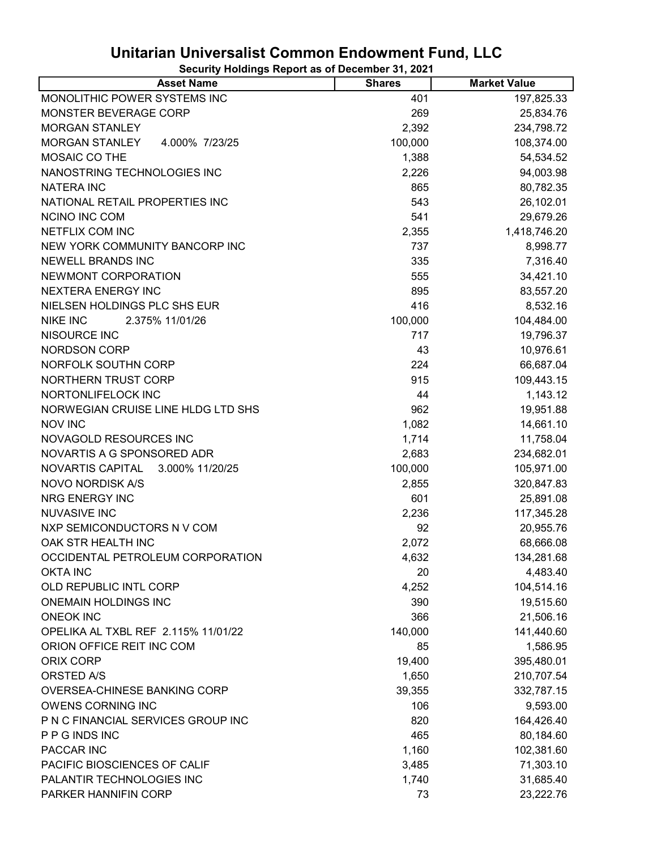| <b>Asset Name</b>                       | <b>Shares</b> | <b>Market Value</b> |
|-----------------------------------------|---------------|---------------------|
| MONOLITHIC POWER SYSTEMS INC            | 401           | 197,825.33          |
| MONSTER BEVERAGE CORP                   | 269           | 25,834.76           |
| <b>MORGAN STANLEY</b>                   | 2,392         | 234,798.72          |
| <b>MORGAN STANLEY</b><br>4.000% 7/23/25 | 100,000       | 108,374.00          |
| MOSAIC CO THE                           | 1,388         | 54,534.52           |
| NANOSTRING TECHNOLOGIES INC             | 2,226         | 94,003.98           |
| <b>NATERA INC</b>                       | 865           | 80,782.35           |
| NATIONAL RETAIL PROPERTIES INC          | 543           | 26,102.01           |
| <b>NCINO INC COM</b>                    | 541           | 29,679.26           |
| NETFLIX COM INC                         | 2,355         | 1,418,746.20        |
| NEW YORK COMMUNITY BANCORP INC          | 737           | 8,998.77            |
| <b>NEWELL BRANDS INC</b>                | 335           | 7,316.40            |
| NEWMONT CORPORATION                     | 555           | 34,421.10           |
| <b>NEXTERA ENERGY INC</b>               | 895           | 83,557.20           |
| NIELSEN HOLDINGS PLC SHS EUR            | 416           | 8,532.16            |
| <b>NIKE INC</b><br>2.375% 11/01/26      | 100,000       | 104,484.00          |
| NISOURCE INC                            | 717           | 19,796.37           |
| <b>NORDSON CORP</b>                     | 43            | 10,976.61           |
| NORFOLK SOUTHN CORP                     | 224           | 66,687.04           |
| NORTHERN TRUST CORP                     | 915           | 109,443.15          |
| NORTONLIFELOCK INC                      | 44            | 1,143.12            |
| NORWEGIAN CRUISE LINE HLDG LTD SHS      | 962           | 19,951.88           |
| <b>NOV INC</b>                          | 1,082         | 14,661.10           |
| NOVAGOLD RESOURCES INC                  | 1,714         | 11,758.04           |
| NOVARTIS A G SPONSORED ADR              | 2,683         | 234,682.01          |
| NOVARTIS CAPITAL<br>3.000% 11/20/25     | 100,000       | 105,971.00          |
| NOVO NORDISK A/S                        | 2,855         | 320,847.83          |
| <b>NRG ENERGY INC</b>                   | 601           | 25,891.08           |
| <b>NUVASIVE INC</b>                     | 2,236         | 117,345.28          |
| NXP SEMICONDUCTORS N V COM              | 92            | 20,955.76           |
| OAK STR HEALTH INC                      | 2,072         | 68,666.08           |
| OCCIDENTAL PETROLEUM CORPORATION        | 4,632         | 134,281.68          |
| <b>OKTA INC</b>                         | 20            | 4,483.40            |
| OLD REPUBLIC INTL CORP                  | 4,252         | 104,514.16          |
| <b>ONEMAIN HOLDINGS INC</b>             | 390           | 19,515.60           |
| <b>ONEOK INC</b>                        | 366           | 21,506.16           |
| OPELIKA AL TXBL REF 2.115% 11/01/22     | 140,000       | 141,440.60          |
| ORION OFFICE REIT INC COM               | 85            | 1,586.95            |
| ORIX CORP                               | 19,400        | 395,480.01          |
| ORSTED A/S                              | 1,650         | 210,707.54          |
| OVERSEA-CHINESE BANKING CORP            | 39,355        | 332,787.15          |
| <b>OWENS CORNING INC</b>                | 106           | 9,593.00            |
| P N C FINANCIAL SERVICES GROUP INC      | 820           | 164,426.40          |
| P P G INDS INC                          | 465           | 80,184.60           |
| PACCAR INC                              | 1,160         | 102,381.60          |
| PACIFIC BIOSCIENCES OF CALIF            | 3,485         | 71,303.10           |
| PALANTIR TECHNOLOGIES INC               | 1,740         | 31,685.40           |
| PARKER HANNIFIN CORP                    | 73            | 23,222.76           |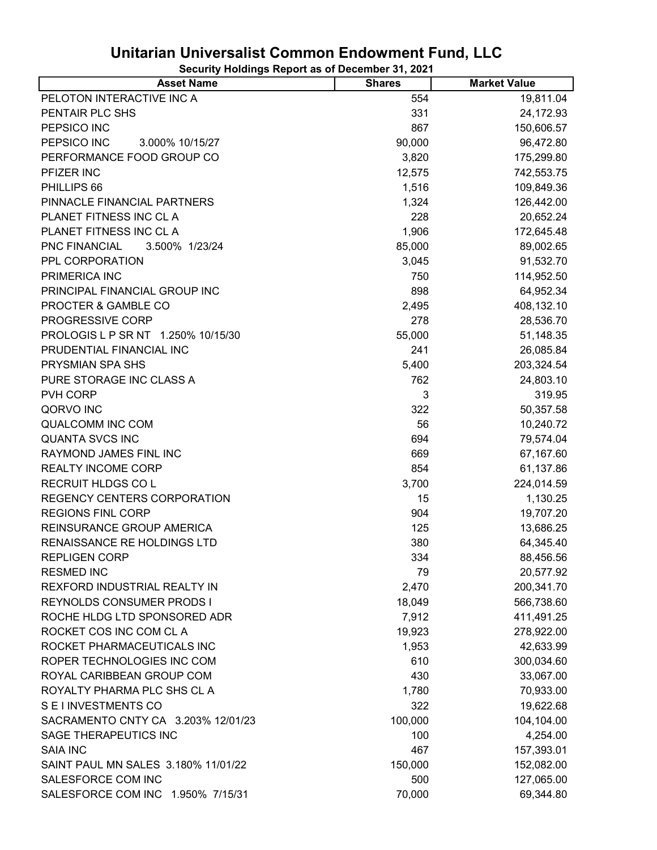| <b>Asset Name</b>                      | <b>Shares</b> | <b>Market Value</b> |
|----------------------------------------|---------------|---------------------|
| PELOTON INTERACTIVE INC A              | 554           | 19,811.04           |
| PENTAIR PLC SHS                        | 331           | 24,172.93           |
| PEPSICO INC                            | 867           | 150,606.57          |
| PEPSICO INC<br>3.000% 10/15/27         | 90,000        | 96,472.80           |
| PERFORMANCE FOOD GROUP CO              | 3,820         | 175,299.80          |
| PFIZER INC                             | 12,575        | 742,553.75          |
| PHILLIPS 66                            | 1,516         | 109,849.36          |
| PINNACLE FINANCIAL PARTNERS            | 1,324         | 126,442.00          |
| PLANET FITNESS INC CL A                | 228           | 20,652.24           |
| PLANET FITNESS INC CL A                | 1,906         | 172,645.48          |
| <b>PNC FINANCIAL</b><br>3.500% 1/23/24 | 85,000        | 89,002.65           |
| PPL CORPORATION                        | 3,045         | 91,532.70           |
| PRIMERICA INC                          | 750           | 114,952.50          |
| PRINCIPAL FINANCIAL GROUP INC          | 898           | 64,952.34           |
| PROCTER & GAMBLE CO                    | 2,495         | 408,132.10          |
| PROGRESSIVE CORP                       | 278           | 28,536.70           |
| PROLOGIS L P SR NT 1.250% 10/15/30     | 55,000        | 51,148.35           |
| PRUDENTIAL FINANCIAL INC               | 241           | 26,085.84           |
| PRYSMIAN SPA SHS                       | 5,400         | 203,324.54          |
| PURE STORAGE INC CLASS A               | 762           | 24,803.10           |
| PVH CORP                               | 3             | 319.95              |
| QORVO INC                              | 322           | 50,357.58           |
| <b>QUALCOMM INC COM</b>                | 56            | 10,240.72           |
| <b>QUANTA SVCS INC</b>                 | 694           | 79,574.04           |
| RAYMOND JAMES FINL INC                 | 669           | 67,167.60           |
| <b>REALTY INCOME CORP</b>              | 854           | 61,137.86           |
| <b>RECRUIT HLDGS COL</b>               | 3,700         | 224,014.59          |
| REGENCY CENTERS CORPORATION            | 15            | 1,130.25            |
| <b>REGIONS FINL CORP</b>               | 904           | 19,707.20           |
| REINSURANCE GROUP AMERICA              | 125           | 13,686.25           |
| RENAISSANCE RE HOLDINGS LTD            | 380           | 64,345.40           |
| <b>REPLIGEN CORP</b>                   | 334           | 88,456.56           |
| <b>RESMED INC</b>                      | 79            | 20,577.92           |
| REXFORD INDUSTRIAL REALTY IN           | 2,470         | 200,341.70          |
| <b>REYNOLDS CONSUMER PRODS I</b>       | 18,049        | 566,738.60          |
| ROCHE HLDG LTD SPONSORED ADR           | 7,912         | 411,491.25          |
| ROCKET COS INC COM CL A                | 19,923        | 278,922.00          |
| ROCKET PHARMACEUTICALS INC             | 1,953         | 42,633.99           |
| ROPER TECHNOLOGIES INC COM             | 610           | 300,034.60          |
| ROYAL CARIBBEAN GROUP COM              | 430           | 33,067.00           |
| ROYALTY PHARMA PLC SHS CL A            | 1,780         | 70,933.00           |
| SEI INVESTMENTS CO                     | 322           | 19,622.68           |
| SACRAMENTO CNTY CA 3.203% 12/01/23     | 100,000       | 104,104.00          |
| SAGE THERAPEUTICS INC                  | 100           | 4,254.00            |
| <b>SAIA INC</b>                        | 467           | 157,393.01          |
| SAINT PAUL MN SALES 3.180% 11/01/22    | 150,000       | 152,082.00          |
| SALESFORCE COM INC                     | 500           | 127,065.00          |
| SALESFORCE COM INC 1.950% 7/15/31      | 70,000        | 69,344.80           |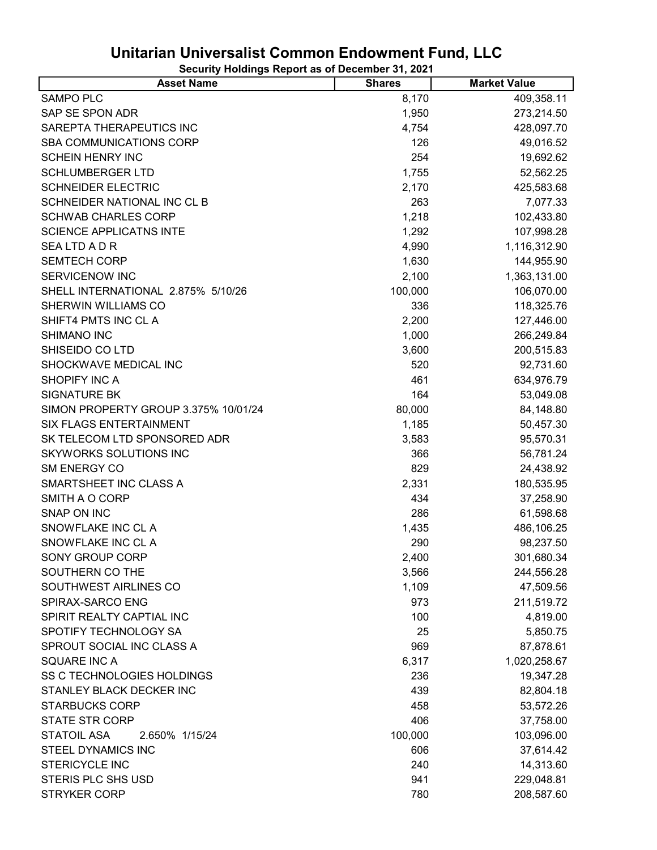| <b>Asset Name</b>                    | <b>Shares</b> | <b>Market Value</b> |
|--------------------------------------|---------------|---------------------|
| <b>SAMPO PLC</b>                     | 8,170         | 409,358.11          |
| SAP SE SPON ADR                      | 1,950         | 273,214.50          |
| SAREPTA THERAPEUTICS INC             | 4,754         | 428,097.70          |
| SBA COMMUNICATIONS CORP              | 126           | 49,016.52           |
| <b>SCHEIN HENRY INC</b>              | 254           | 19,692.62           |
| <b>SCHLUMBERGER LTD</b>              | 1,755         | 52,562.25           |
| <b>SCHNEIDER ELECTRIC</b>            | 2,170         | 425,583.68          |
| SCHNEIDER NATIONAL INC CL B          | 263           | 7,077.33            |
| <b>SCHWAB CHARLES CORP</b>           | 1,218         | 102,433.80          |
| <b>SCIENCE APPLICATNS INTE</b>       | 1,292         | 107,998.28          |
| <b>SEALTDADR</b>                     | 4,990         | 1,116,312.90        |
| <b>SEMTECH CORP</b>                  | 1,630         | 144,955.90          |
| <b>SERVICENOW INC</b>                | 2,100         | 1,363,131.00        |
| SHELL INTERNATIONAL 2.875% 5/10/26   | 100,000       | 106,070.00          |
| SHERWIN WILLIAMS CO                  | 336           | 118,325.76          |
| SHIFT4 PMTS INC CL A                 | 2,200         | 127,446.00          |
| SHIMANO INC                          | 1,000         | 266,249.84          |
| SHISEIDO CO LTD                      | 3,600         | 200,515.83          |
| SHOCKWAVE MEDICAL INC                | 520           | 92,731.60           |
| <b>SHOPIFY INC A</b>                 | 461           | 634,976.79          |
| <b>SIGNATURE BK</b>                  | 164           | 53,049.08           |
| SIMON PROPERTY GROUP 3.375% 10/01/24 | 80,000        | 84,148.80           |
| SIX FLAGS ENTERTAINMENT              | 1,185         | 50,457.30           |
| SK TELECOM LTD SPONSORED ADR         | 3,583         | 95,570.31           |
| <b>SKYWORKS SOLUTIONS INC</b>        | 366           | 56,781.24           |
| <b>SM ENERGY CO</b>                  | 829           | 24,438.92           |
| SMARTSHEET INC CLASS A               | 2,331         | 180,535.95          |
| SMITH A O CORP                       | 434           | 37,258.90           |
| SNAP ON INC                          | 286           | 61,598.68           |
| SNOWFLAKE INC CL A                   | 1,435         | 486,106.25          |
| SNOWFLAKE INC CL A                   | 290           | 98,237.50           |
| <b>SONY GROUP CORP</b>               | 2,400         | 301,680.34          |
| SOUTHERN CO THE                      | 3,566         | 244,556.28          |
| SOUTHWEST AIRLINES CO                | 1,109         | 47,509.56           |
| SPIRAX-SARCO ENG                     | 973           | 211,519.72          |
| SPIRIT REALTY CAPTIAL INC            | 100           | 4,819.00            |
| SPOTIFY TECHNOLOGY SA                | 25            | 5,850.75            |
| SPROUT SOCIAL INC CLASS A            | 969           | 87,878.61           |
| <b>SQUARE INC A</b>                  | 6,317         | 1,020,258.67        |
| SS C TECHNOLOGIES HOLDINGS           | 236           | 19,347.28           |
| STANLEY BLACK DECKER INC             | 439           | 82,804.18           |
| <b>STARBUCKS CORP</b>                | 458           | 53,572.26           |
| <b>STATE STR CORP</b>                | 406           | 37,758.00           |
| <b>STATOIL ASA</b><br>2.650% 1/15/24 | 100,000       | 103,096.00          |
| <b>STEEL DYNAMICS INC</b>            | 606           | 37,614.42           |
| <b>STERICYCLE INC</b>                | 240           | 14,313.60           |
| STERIS PLC SHS USD                   | 941           | 229,048.81          |
| <b>STRYKER CORP</b>                  | 780           | 208,587.60          |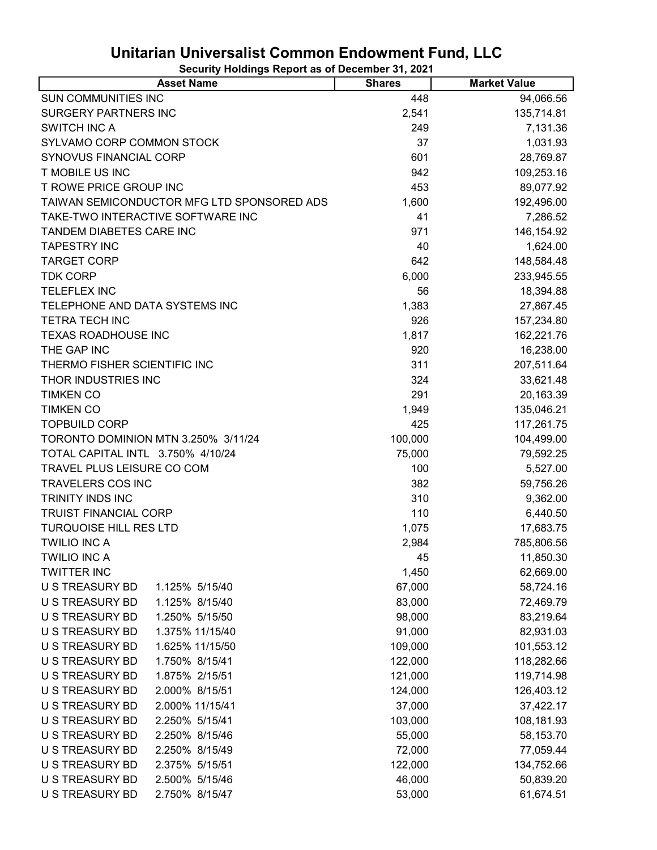| <b>Asset Name</b>                          | <b>Shares</b> | <b>Market Value</b> |
|--------------------------------------------|---------------|---------------------|
| <b>SUN COMMUNITIES INC</b>                 | 448           | 94,066.56           |
| <b>SURGERY PARTNERS INC</b>                | 2,541         | 135,714.81          |
| <b>SWITCH INC A</b>                        | 249           | 7,131.36            |
| SYLVAMO CORP COMMON STOCK                  | 37            | 1,031.93            |
| SYNOVUS FINANCIAL CORP                     | 601           | 28,769.87           |
| <b>T MOBILE US INC</b>                     | 942           | 109,253.16          |
| T ROWE PRICE GROUP INC                     | 453           | 89,077.92           |
| TAIWAN SEMICONDUCTOR MFG LTD SPONSORED ADS | 1,600         | 192,496.00          |
| TAKE-TWO INTERACTIVE SOFTWARE INC          | 41            | 7,286.52            |
| TANDEM DIABETES CARE INC                   | 971           | 146, 154. 92        |
| <b>TAPESTRY INC</b>                        | 40            | 1,624.00            |
| <b>TARGET CORP</b>                         | 642           | 148,584.48          |
| <b>TDK CORP</b>                            | 6,000         | 233,945.55          |
| <b>TELEFLEX INC</b>                        | 56            | 18,394.88           |
| TELEPHONE AND DATA SYSTEMS INC             | 1,383         | 27,867.45           |
| <b>TETRA TECH INC</b>                      | 926           | 157,234.80          |
| <b>TEXAS ROADHOUSE INC</b>                 | 1,817         | 162,221.76          |
| THE GAP INC                                | 920           | 16,238.00           |
| THERMO FISHER SCIENTIFIC INC               | 311           | 207,511.64          |
| THOR INDUSTRIES INC                        | 324           | 33,621.48           |
| <b>TIMKEN CO</b>                           | 291           | 20,163.39           |
| <b>TIMKEN CO</b>                           | 1,949         | 135,046.21          |
| <b>TOPBUILD CORP</b>                       | 425           | 117,261.75          |
| TORONTO DOMINION MTN 3.250% 3/11/24        | 100,000       | 104,499.00          |
| TOTAL CAPITAL INTL 3.750% 4/10/24          | 75,000        | 79,592.25           |
| TRAVEL PLUS LEISURE CO COM                 | 100           | 5,527.00            |
| TRAVELERS COS INC                          | 382           | 59,756.26           |
| <b>TRINITY INDS INC</b>                    | 310           | 9,362.00            |
| <b>TRUIST FINANCIAL CORP</b>               | 110           | 6,440.50            |
| <b>TURQUOISE HILL RES LTD</b>              | 1,075         | 17,683.75           |
| <b>TWILIO INC A</b>                        | 2,984         | 785,806.56          |
| <b>TWILIO INC A</b>                        | 45            | 11,850.30           |
| <b>TWITTER INC</b>                         | 1,450         | 62,669.00           |
| <b>U S TREASURY BD</b><br>1.125% 5/15/40   | 67,000        | 58,724.16           |
| U S TREASURY BD<br>1.125% 8/15/40          | 83,000        | 72,469.79           |
| U S TREASURY BD<br>1.250% 5/15/50          | 98,000        | 83,219.64           |
| U S TREASURY BD<br>1.375% 11/15/40         | 91,000        | 82,931.03           |
| U S TREASURY BD<br>1.625% 11/15/50         | 109,000       | 101,553.12          |
| 1.750% 8/15/41<br><b>U S TREASURY BD</b>   | 122,000       | 118,282.66          |
| U S TREASURY BD<br>1.875% 2/15/51          | 121,000       | 119,714.98          |
| U S TREASURY BD<br>2.000% 8/15/51          | 124,000       | 126,403.12          |
| U S TREASURY BD<br>2.000% 11/15/41         | 37,000        | 37,422.17           |
| U S TREASURY BD<br>2.250% 5/15/41          | 103,000       | 108,181.93          |
| U S TREASURY BD<br>2.250% 8/15/46          | 55,000        | 58,153.70           |
| U S TREASURY BD<br>2.250% 8/15/49          | 72,000        | 77,059.44           |
| U S TREASURY BD<br>2.375% 5/15/51          | 122,000       | 134,752.66          |
| U S TREASURY BD<br>2.500% 5/15/46          | 46,000        | 50,839.20           |
| U S TREASURY BD<br>2.750% 8/15/47          | 53,000        | 61,674.51           |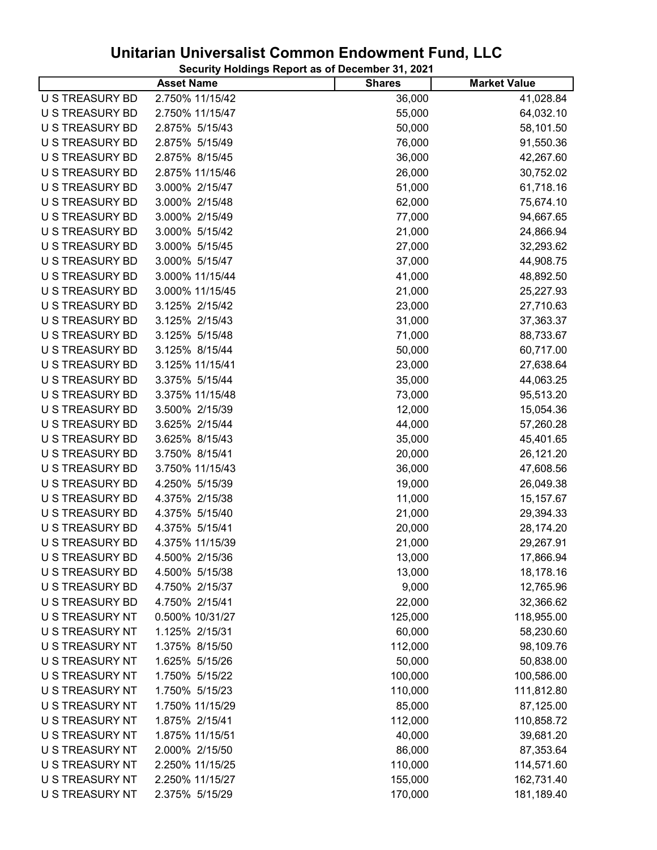| Security Holdings Report as of December 31, 2021 |  |
|--------------------------------------------------|--|
|--------------------------------------------------|--|

| 2.750% 11/15/42<br>36,000<br>U S TREASURY BD<br>41,028.84<br>U S TREASURY BD<br>2.750% 11/15/47<br>55,000<br>64,032.10<br>U S TREASURY BD<br>2.875% 5/15/43<br>50,000<br>58,101.50<br>2.875% 5/15/49<br>U S TREASURY BD<br>76,000<br>91,550.36<br>U S TREASURY BD<br>2.875% 8/15/45<br>36,000<br>42,267.60<br>U S TREASURY BD<br>2.875% 11/15/46<br>26,000<br>30,752.02<br>U S TREASURY BD<br>3.000% 2/15/47<br>51,000<br>61,718.16<br>U S TREASURY BD<br>3.000% 2/15/48<br>62,000<br>75,674.10<br>3.000% 2/15/49<br>U S TREASURY BD<br>77,000<br>94,667.65<br>U S TREASURY BD<br>3.000% 5/15/42<br>21,000<br>24,866.94<br>3.000% 5/15/45<br>27,000<br>U S TREASURY BD<br>32,293.62<br>U S TREASURY BD<br>3.000% 5/15/47<br>37,000<br>44,908.75<br>U S TREASURY BD<br>3.000% 11/15/44<br>41,000<br>48,892.50<br>U S TREASURY BD<br>3.000% 11/15/45<br>21,000<br>25,227.93<br>U S TREASURY BD<br>3.125% 2/15/42<br>23,000<br>27,710.63<br>U S TREASURY BD<br>3.125% 2/15/43<br>31,000<br>37,363.37<br>U S TREASURY BD<br>3.125% 5/15/48<br>71,000<br>88,733.67<br><b>U S TREASURY BD</b><br>3.125% 8/15/44<br>50,000<br>60,717.00<br>3.125% 11/15/41<br>U S TREASURY BD<br>23,000<br>27,638.64<br>U S TREASURY BD<br>3.375% 5/15/44<br>35,000<br>44,063.25<br>3.375% 11/15/48<br>U S TREASURY BD<br>73,000<br>95,513.20<br>U S TREASURY BD<br>3.500% 2/15/39<br>12,000<br>15,054.36<br>U S TREASURY BD<br>3.625% 2/15/44<br>44,000<br>57,260.28<br>3.625% 8/15/43<br>35,000<br>U S TREASURY BD<br>45,401.65<br>U S TREASURY BD<br>3.750% 8/15/41<br>20,000<br>26,121.20<br>U S TREASURY BD<br>3.750% 11/15/43<br>36,000<br>47,608.56<br>U S TREASURY BD<br>19,000<br>4.250% 5/15/39<br>26,049.38<br>U S TREASURY BD<br>4.375% 2/15/38<br>11,000<br>15,157.67<br>U S TREASURY BD<br>4.375% 5/15/40<br>21,000<br>29,394.33<br>U S TREASURY BD<br>4.375% 5/15/41<br>20,000<br>28,174.20<br><b>U S TREASURY BD</b><br>4.375% 11/15/39<br>21,000<br>29,267.91<br>17,866.94<br>4.500% 2/15/36<br>13,000<br>U S TREASURY BD<br><b>U S TREASURY BD</b><br>4.500% 5/15/38<br>13,000<br>18,178.16<br><b>U S TREASURY BD</b><br>4.750% 2/15/37<br>9,000<br>12,765.96<br><b>U S TREASURY BD</b><br>4.750% 2/15/41<br>22,000<br>32,366.62<br>U S TREASURY NT<br>0.500% 10/31/27<br>125,000<br>118,955.00<br>U S TREASURY NT<br>60,000<br>1.125% 2/15/31<br>58,230.60<br>U S TREASURY NT<br>1.375% 8/15/50<br>112,000<br>98,109.76<br>U S TREASURY NT<br>1.625% 5/15/26<br>50,000<br>50,838.00<br>U S TREASURY NT<br>1.750% 5/15/22<br>100,000<br>100,586.00<br>U S TREASURY NT<br>1.750% 5/15/23<br>110,000<br>111,812.80<br>U S TREASURY NT<br>1.750% 11/15/29<br>85,000<br>87,125.00<br>U S TREASURY NT<br>1.875% 2/15/41<br>112,000<br>110,858.72<br>U S TREASURY NT<br>1.875% 11/15/51<br>40,000<br>39,681.20<br>U S TREASURY NT<br>2.000% 2/15/50<br>86,000<br>87,353.64<br>U S TREASURY NT<br>2.250% 11/15/25<br>110,000<br>114,571.60<br>U S TREASURY NT<br>2.250% 11/15/27<br>155,000<br>162,731.40<br>181,189.40<br>U S TREASURY NT<br>2.375% 5/15/29<br>170,000 | ---- <i>,</i> ----<br><b>Asset Name</b> | <b>Shares</b> | <b>Market Value</b> |
|-------------------------------------------------------------------------------------------------------------------------------------------------------------------------------------------------------------------------------------------------------------------------------------------------------------------------------------------------------------------------------------------------------------------------------------------------------------------------------------------------------------------------------------------------------------------------------------------------------------------------------------------------------------------------------------------------------------------------------------------------------------------------------------------------------------------------------------------------------------------------------------------------------------------------------------------------------------------------------------------------------------------------------------------------------------------------------------------------------------------------------------------------------------------------------------------------------------------------------------------------------------------------------------------------------------------------------------------------------------------------------------------------------------------------------------------------------------------------------------------------------------------------------------------------------------------------------------------------------------------------------------------------------------------------------------------------------------------------------------------------------------------------------------------------------------------------------------------------------------------------------------------------------------------------------------------------------------------------------------------------------------------------------------------------------------------------------------------------------------------------------------------------------------------------------------------------------------------------------------------------------------------------------------------------------------------------------------------------------------------------------------------------------------------------------------------------------------------------------------------------------------------------------------------------------------------------------------------------------------------------------------------------------------------------------------------------------------------------------------------------------------------------------------------------------------------------------------------------------------------------------------------------------------------------------------------------------------------------------------------------------------------------------------------------------------|-----------------------------------------|---------------|---------------------|
|                                                                                                                                                                                                                                                                                                                                                                                                                                                                                                                                                                                                                                                                                                                                                                                                                                                                                                                                                                                                                                                                                                                                                                                                                                                                                                                                                                                                                                                                                                                                                                                                                                                                                                                                                                                                                                                                                                                                                                                                                                                                                                                                                                                                                                                                                                                                                                                                                                                                                                                                                                                                                                                                                                                                                                                                                                                                                                                                                                                                                                                             |                                         |               |                     |
|                                                                                                                                                                                                                                                                                                                                                                                                                                                                                                                                                                                                                                                                                                                                                                                                                                                                                                                                                                                                                                                                                                                                                                                                                                                                                                                                                                                                                                                                                                                                                                                                                                                                                                                                                                                                                                                                                                                                                                                                                                                                                                                                                                                                                                                                                                                                                                                                                                                                                                                                                                                                                                                                                                                                                                                                                                                                                                                                                                                                                                                             |                                         |               |                     |
|                                                                                                                                                                                                                                                                                                                                                                                                                                                                                                                                                                                                                                                                                                                                                                                                                                                                                                                                                                                                                                                                                                                                                                                                                                                                                                                                                                                                                                                                                                                                                                                                                                                                                                                                                                                                                                                                                                                                                                                                                                                                                                                                                                                                                                                                                                                                                                                                                                                                                                                                                                                                                                                                                                                                                                                                                                                                                                                                                                                                                                                             |                                         |               |                     |
|                                                                                                                                                                                                                                                                                                                                                                                                                                                                                                                                                                                                                                                                                                                                                                                                                                                                                                                                                                                                                                                                                                                                                                                                                                                                                                                                                                                                                                                                                                                                                                                                                                                                                                                                                                                                                                                                                                                                                                                                                                                                                                                                                                                                                                                                                                                                                                                                                                                                                                                                                                                                                                                                                                                                                                                                                                                                                                                                                                                                                                                             |                                         |               |                     |
|                                                                                                                                                                                                                                                                                                                                                                                                                                                                                                                                                                                                                                                                                                                                                                                                                                                                                                                                                                                                                                                                                                                                                                                                                                                                                                                                                                                                                                                                                                                                                                                                                                                                                                                                                                                                                                                                                                                                                                                                                                                                                                                                                                                                                                                                                                                                                                                                                                                                                                                                                                                                                                                                                                                                                                                                                                                                                                                                                                                                                                                             |                                         |               |                     |
|                                                                                                                                                                                                                                                                                                                                                                                                                                                                                                                                                                                                                                                                                                                                                                                                                                                                                                                                                                                                                                                                                                                                                                                                                                                                                                                                                                                                                                                                                                                                                                                                                                                                                                                                                                                                                                                                                                                                                                                                                                                                                                                                                                                                                                                                                                                                                                                                                                                                                                                                                                                                                                                                                                                                                                                                                                                                                                                                                                                                                                                             |                                         |               |                     |
|                                                                                                                                                                                                                                                                                                                                                                                                                                                                                                                                                                                                                                                                                                                                                                                                                                                                                                                                                                                                                                                                                                                                                                                                                                                                                                                                                                                                                                                                                                                                                                                                                                                                                                                                                                                                                                                                                                                                                                                                                                                                                                                                                                                                                                                                                                                                                                                                                                                                                                                                                                                                                                                                                                                                                                                                                                                                                                                                                                                                                                                             |                                         |               |                     |
|                                                                                                                                                                                                                                                                                                                                                                                                                                                                                                                                                                                                                                                                                                                                                                                                                                                                                                                                                                                                                                                                                                                                                                                                                                                                                                                                                                                                                                                                                                                                                                                                                                                                                                                                                                                                                                                                                                                                                                                                                                                                                                                                                                                                                                                                                                                                                                                                                                                                                                                                                                                                                                                                                                                                                                                                                                                                                                                                                                                                                                                             |                                         |               |                     |
|                                                                                                                                                                                                                                                                                                                                                                                                                                                                                                                                                                                                                                                                                                                                                                                                                                                                                                                                                                                                                                                                                                                                                                                                                                                                                                                                                                                                                                                                                                                                                                                                                                                                                                                                                                                                                                                                                                                                                                                                                                                                                                                                                                                                                                                                                                                                                                                                                                                                                                                                                                                                                                                                                                                                                                                                                                                                                                                                                                                                                                                             |                                         |               |                     |
|                                                                                                                                                                                                                                                                                                                                                                                                                                                                                                                                                                                                                                                                                                                                                                                                                                                                                                                                                                                                                                                                                                                                                                                                                                                                                                                                                                                                                                                                                                                                                                                                                                                                                                                                                                                                                                                                                                                                                                                                                                                                                                                                                                                                                                                                                                                                                                                                                                                                                                                                                                                                                                                                                                                                                                                                                                                                                                                                                                                                                                                             |                                         |               |                     |
|                                                                                                                                                                                                                                                                                                                                                                                                                                                                                                                                                                                                                                                                                                                                                                                                                                                                                                                                                                                                                                                                                                                                                                                                                                                                                                                                                                                                                                                                                                                                                                                                                                                                                                                                                                                                                                                                                                                                                                                                                                                                                                                                                                                                                                                                                                                                                                                                                                                                                                                                                                                                                                                                                                                                                                                                                                                                                                                                                                                                                                                             |                                         |               |                     |
|                                                                                                                                                                                                                                                                                                                                                                                                                                                                                                                                                                                                                                                                                                                                                                                                                                                                                                                                                                                                                                                                                                                                                                                                                                                                                                                                                                                                                                                                                                                                                                                                                                                                                                                                                                                                                                                                                                                                                                                                                                                                                                                                                                                                                                                                                                                                                                                                                                                                                                                                                                                                                                                                                                                                                                                                                                                                                                                                                                                                                                                             |                                         |               |                     |
|                                                                                                                                                                                                                                                                                                                                                                                                                                                                                                                                                                                                                                                                                                                                                                                                                                                                                                                                                                                                                                                                                                                                                                                                                                                                                                                                                                                                                                                                                                                                                                                                                                                                                                                                                                                                                                                                                                                                                                                                                                                                                                                                                                                                                                                                                                                                                                                                                                                                                                                                                                                                                                                                                                                                                                                                                                                                                                                                                                                                                                                             |                                         |               |                     |
|                                                                                                                                                                                                                                                                                                                                                                                                                                                                                                                                                                                                                                                                                                                                                                                                                                                                                                                                                                                                                                                                                                                                                                                                                                                                                                                                                                                                                                                                                                                                                                                                                                                                                                                                                                                                                                                                                                                                                                                                                                                                                                                                                                                                                                                                                                                                                                                                                                                                                                                                                                                                                                                                                                                                                                                                                                                                                                                                                                                                                                                             |                                         |               |                     |
|                                                                                                                                                                                                                                                                                                                                                                                                                                                                                                                                                                                                                                                                                                                                                                                                                                                                                                                                                                                                                                                                                                                                                                                                                                                                                                                                                                                                                                                                                                                                                                                                                                                                                                                                                                                                                                                                                                                                                                                                                                                                                                                                                                                                                                                                                                                                                                                                                                                                                                                                                                                                                                                                                                                                                                                                                                                                                                                                                                                                                                                             |                                         |               |                     |
|                                                                                                                                                                                                                                                                                                                                                                                                                                                                                                                                                                                                                                                                                                                                                                                                                                                                                                                                                                                                                                                                                                                                                                                                                                                                                                                                                                                                                                                                                                                                                                                                                                                                                                                                                                                                                                                                                                                                                                                                                                                                                                                                                                                                                                                                                                                                                                                                                                                                                                                                                                                                                                                                                                                                                                                                                                                                                                                                                                                                                                                             |                                         |               |                     |
|                                                                                                                                                                                                                                                                                                                                                                                                                                                                                                                                                                                                                                                                                                                                                                                                                                                                                                                                                                                                                                                                                                                                                                                                                                                                                                                                                                                                                                                                                                                                                                                                                                                                                                                                                                                                                                                                                                                                                                                                                                                                                                                                                                                                                                                                                                                                                                                                                                                                                                                                                                                                                                                                                                                                                                                                                                                                                                                                                                                                                                                             |                                         |               |                     |
|                                                                                                                                                                                                                                                                                                                                                                                                                                                                                                                                                                                                                                                                                                                                                                                                                                                                                                                                                                                                                                                                                                                                                                                                                                                                                                                                                                                                                                                                                                                                                                                                                                                                                                                                                                                                                                                                                                                                                                                                                                                                                                                                                                                                                                                                                                                                                                                                                                                                                                                                                                                                                                                                                                                                                                                                                                                                                                                                                                                                                                                             |                                         |               |                     |
|                                                                                                                                                                                                                                                                                                                                                                                                                                                                                                                                                                                                                                                                                                                                                                                                                                                                                                                                                                                                                                                                                                                                                                                                                                                                                                                                                                                                                                                                                                                                                                                                                                                                                                                                                                                                                                                                                                                                                                                                                                                                                                                                                                                                                                                                                                                                                                                                                                                                                                                                                                                                                                                                                                                                                                                                                                                                                                                                                                                                                                                             |                                         |               |                     |
|                                                                                                                                                                                                                                                                                                                                                                                                                                                                                                                                                                                                                                                                                                                                                                                                                                                                                                                                                                                                                                                                                                                                                                                                                                                                                                                                                                                                                                                                                                                                                                                                                                                                                                                                                                                                                                                                                                                                                                                                                                                                                                                                                                                                                                                                                                                                                                                                                                                                                                                                                                                                                                                                                                                                                                                                                                                                                                                                                                                                                                                             |                                         |               |                     |
|                                                                                                                                                                                                                                                                                                                                                                                                                                                                                                                                                                                                                                                                                                                                                                                                                                                                                                                                                                                                                                                                                                                                                                                                                                                                                                                                                                                                                                                                                                                                                                                                                                                                                                                                                                                                                                                                                                                                                                                                                                                                                                                                                                                                                                                                                                                                                                                                                                                                                                                                                                                                                                                                                                                                                                                                                                                                                                                                                                                                                                                             |                                         |               |                     |
|                                                                                                                                                                                                                                                                                                                                                                                                                                                                                                                                                                                                                                                                                                                                                                                                                                                                                                                                                                                                                                                                                                                                                                                                                                                                                                                                                                                                                                                                                                                                                                                                                                                                                                                                                                                                                                                                                                                                                                                                                                                                                                                                                                                                                                                                                                                                                                                                                                                                                                                                                                                                                                                                                                                                                                                                                                                                                                                                                                                                                                                             |                                         |               |                     |
|                                                                                                                                                                                                                                                                                                                                                                                                                                                                                                                                                                                                                                                                                                                                                                                                                                                                                                                                                                                                                                                                                                                                                                                                                                                                                                                                                                                                                                                                                                                                                                                                                                                                                                                                                                                                                                                                                                                                                                                                                                                                                                                                                                                                                                                                                                                                                                                                                                                                                                                                                                                                                                                                                                                                                                                                                                                                                                                                                                                                                                                             |                                         |               |                     |
|                                                                                                                                                                                                                                                                                                                                                                                                                                                                                                                                                                                                                                                                                                                                                                                                                                                                                                                                                                                                                                                                                                                                                                                                                                                                                                                                                                                                                                                                                                                                                                                                                                                                                                                                                                                                                                                                                                                                                                                                                                                                                                                                                                                                                                                                                                                                                                                                                                                                                                                                                                                                                                                                                                                                                                                                                                                                                                                                                                                                                                                             |                                         |               |                     |
|                                                                                                                                                                                                                                                                                                                                                                                                                                                                                                                                                                                                                                                                                                                                                                                                                                                                                                                                                                                                                                                                                                                                                                                                                                                                                                                                                                                                                                                                                                                                                                                                                                                                                                                                                                                                                                                                                                                                                                                                                                                                                                                                                                                                                                                                                                                                                                                                                                                                                                                                                                                                                                                                                                                                                                                                                                                                                                                                                                                                                                                             |                                         |               |                     |
|                                                                                                                                                                                                                                                                                                                                                                                                                                                                                                                                                                                                                                                                                                                                                                                                                                                                                                                                                                                                                                                                                                                                                                                                                                                                                                                                                                                                                                                                                                                                                                                                                                                                                                                                                                                                                                                                                                                                                                                                                                                                                                                                                                                                                                                                                                                                                                                                                                                                                                                                                                                                                                                                                                                                                                                                                                                                                                                                                                                                                                                             |                                         |               |                     |
|                                                                                                                                                                                                                                                                                                                                                                                                                                                                                                                                                                                                                                                                                                                                                                                                                                                                                                                                                                                                                                                                                                                                                                                                                                                                                                                                                                                                                                                                                                                                                                                                                                                                                                                                                                                                                                                                                                                                                                                                                                                                                                                                                                                                                                                                                                                                                                                                                                                                                                                                                                                                                                                                                                                                                                                                                                                                                                                                                                                                                                                             |                                         |               |                     |
|                                                                                                                                                                                                                                                                                                                                                                                                                                                                                                                                                                                                                                                                                                                                                                                                                                                                                                                                                                                                                                                                                                                                                                                                                                                                                                                                                                                                                                                                                                                                                                                                                                                                                                                                                                                                                                                                                                                                                                                                                                                                                                                                                                                                                                                                                                                                                                                                                                                                                                                                                                                                                                                                                                                                                                                                                                                                                                                                                                                                                                                             |                                         |               |                     |
|                                                                                                                                                                                                                                                                                                                                                                                                                                                                                                                                                                                                                                                                                                                                                                                                                                                                                                                                                                                                                                                                                                                                                                                                                                                                                                                                                                                                                                                                                                                                                                                                                                                                                                                                                                                                                                                                                                                                                                                                                                                                                                                                                                                                                                                                                                                                                                                                                                                                                                                                                                                                                                                                                                                                                                                                                                                                                                                                                                                                                                                             |                                         |               |                     |
|                                                                                                                                                                                                                                                                                                                                                                                                                                                                                                                                                                                                                                                                                                                                                                                                                                                                                                                                                                                                                                                                                                                                                                                                                                                                                                                                                                                                                                                                                                                                                                                                                                                                                                                                                                                                                                                                                                                                                                                                                                                                                                                                                                                                                                                                                                                                                                                                                                                                                                                                                                                                                                                                                                                                                                                                                                                                                                                                                                                                                                                             |                                         |               |                     |
|                                                                                                                                                                                                                                                                                                                                                                                                                                                                                                                                                                                                                                                                                                                                                                                                                                                                                                                                                                                                                                                                                                                                                                                                                                                                                                                                                                                                                                                                                                                                                                                                                                                                                                                                                                                                                                                                                                                                                                                                                                                                                                                                                                                                                                                                                                                                                                                                                                                                                                                                                                                                                                                                                                                                                                                                                                                                                                                                                                                                                                                             |                                         |               |                     |
|                                                                                                                                                                                                                                                                                                                                                                                                                                                                                                                                                                                                                                                                                                                                                                                                                                                                                                                                                                                                                                                                                                                                                                                                                                                                                                                                                                                                                                                                                                                                                                                                                                                                                                                                                                                                                                                                                                                                                                                                                                                                                                                                                                                                                                                                                                                                                                                                                                                                                                                                                                                                                                                                                                                                                                                                                                                                                                                                                                                                                                                             |                                         |               |                     |
|                                                                                                                                                                                                                                                                                                                                                                                                                                                                                                                                                                                                                                                                                                                                                                                                                                                                                                                                                                                                                                                                                                                                                                                                                                                                                                                                                                                                                                                                                                                                                                                                                                                                                                                                                                                                                                                                                                                                                                                                                                                                                                                                                                                                                                                                                                                                                                                                                                                                                                                                                                                                                                                                                                                                                                                                                                                                                                                                                                                                                                                             |                                         |               |                     |
|                                                                                                                                                                                                                                                                                                                                                                                                                                                                                                                                                                                                                                                                                                                                                                                                                                                                                                                                                                                                                                                                                                                                                                                                                                                                                                                                                                                                                                                                                                                                                                                                                                                                                                                                                                                                                                                                                                                                                                                                                                                                                                                                                                                                                                                                                                                                                                                                                                                                                                                                                                                                                                                                                                                                                                                                                                                                                                                                                                                                                                                             |                                         |               |                     |
|                                                                                                                                                                                                                                                                                                                                                                                                                                                                                                                                                                                                                                                                                                                                                                                                                                                                                                                                                                                                                                                                                                                                                                                                                                                                                                                                                                                                                                                                                                                                                                                                                                                                                                                                                                                                                                                                                                                                                                                                                                                                                                                                                                                                                                                                                                                                                                                                                                                                                                                                                                                                                                                                                                                                                                                                                                                                                                                                                                                                                                                             |                                         |               |                     |
|                                                                                                                                                                                                                                                                                                                                                                                                                                                                                                                                                                                                                                                                                                                                                                                                                                                                                                                                                                                                                                                                                                                                                                                                                                                                                                                                                                                                                                                                                                                                                                                                                                                                                                                                                                                                                                                                                                                                                                                                                                                                                                                                                                                                                                                                                                                                                                                                                                                                                                                                                                                                                                                                                                                                                                                                                                                                                                                                                                                                                                                             |                                         |               |                     |
|                                                                                                                                                                                                                                                                                                                                                                                                                                                                                                                                                                                                                                                                                                                                                                                                                                                                                                                                                                                                                                                                                                                                                                                                                                                                                                                                                                                                                                                                                                                                                                                                                                                                                                                                                                                                                                                                                                                                                                                                                                                                                                                                                                                                                                                                                                                                                                                                                                                                                                                                                                                                                                                                                                                                                                                                                                                                                                                                                                                                                                                             |                                         |               |                     |
|                                                                                                                                                                                                                                                                                                                                                                                                                                                                                                                                                                                                                                                                                                                                                                                                                                                                                                                                                                                                                                                                                                                                                                                                                                                                                                                                                                                                                                                                                                                                                                                                                                                                                                                                                                                                                                                                                                                                                                                                                                                                                                                                                                                                                                                                                                                                                                                                                                                                                                                                                                                                                                                                                                                                                                                                                                                                                                                                                                                                                                                             |                                         |               |                     |
|                                                                                                                                                                                                                                                                                                                                                                                                                                                                                                                                                                                                                                                                                                                                                                                                                                                                                                                                                                                                                                                                                                                                                                                                                                                                                                                                                                                                                                                                                                                                                                                                                                                                                                                                                                                                                                                                                                                                                                                                                                                                                                                                                                                                                                                                                                                                                                                                                                                                                                                                                                                                                                                                                                                                                                                                                                                                                                                                                                                                                                                             |                                         |               |                     |
|                                                                                                                                                                                                                                                                                                                                                                                                                                                                                                                                                                                                                                                                                                                                                                                                                                                                                                                                                                                                                                                                                                                                                                                                                                                                                                                                                                                                                                                                                                                                                                                                                                                                                                                                                                                                                                                                                                                                                                                                                                                                                                                                                                                                                                                                                                                                                                                                                                                                                                                                                                                                                                                                                                                                                                                                                                                                                                                                                                                                                                                             |                                         |               |                     |
|                                                                                                                                                                                                                                                                                                                                                                                                                                                                                                                                                                                                                                                                                                                                                                                                                                                                                                                                                                                                                                                                                                                                                                                                                                                                                                                                                                                                                                                                                                                                                                                                                                                                                                                                                                                                                                                                                                                                                                                                                                                                                                                                                                                                                                                                                                                                                                                                                                                                                                                                                                                                                                                                                                                                                                                                                                                                                                                                                                                                                                                             |                                         |               |                     |
|                                                                                                                                                                                                                                                                                                                                                                                                                                                                                                                                                                                                                                                                                                                                                                                                                                                                                                                                                                                                                                                                                                                                                                                                                                                                                                                                                                                                                                                                                                                                                                                                                                                                                                                                                                                                                                                                                                                                                                                                                                                                                                                                                                                                                                                                                                                                                                                                                                                                                                                                                                                                                                                                                                                                                                                                                                                                                                                                                                                                                                                             |                                         |               |                     |
|                                                                                                                                                                                                                                                                                                                                                                                                                                                                                                                                                                                                                                                                                                                                                                                                                                                                                                                                                                                                                                                                                                                                                                                                                                                                                                                                                                                                                                                                                                                                                                                                                                                                                                                                                                                                                                                                                                                                                                                                                                                                                                                                                                                                                                                                                                                                                                                                                                                                                                                                                                                                                                                                                                                                                                                                                                                                                                                                                                                                                                                             |                                         |               |                     |
|                                                                                                                                                                                                                                                                                                                                                                                                                                                                                                                                                                                                                                                                                                                                                                                                                                                                                                                                                                                                                                                                                                                                                                                                                                                                                                                                                                                                                                                                                                                                                                                                                                                                                                                                                                                                                                                                                                                                                                                                                                                                                                                                                                                                                                                                                                                                                                                                                                                                                                                                                                                                                                                                                                                                                                                                                                                                                                                                                                                                                                                             |                                         |               |                     |
|                                                                                                                                                                                                                                                                                                                                                                                                                                                                                                                                                                                                                                                                                                                                                                                                                                                                                                                                                                                                                                                                                                                                                                                                                                                                                                                                                                                                                                                                                                                                                                                                                                                                                                                                                                                                                                                                                                                                                                                                                                                                                                                                                                                                                                                                                                                                                                                                                                                                                                                                                                                                                                                                                                                                                                                                                                                                                                                                                                                                                                                             |                                         |               |                     |
|                                                                                                                                                                                                                                                                                                                                                                                                                                                                                                                                                                                                                                                                                                                                                                                                                                                                                                                                                                                                                                                                                                                                                                                                                                                                                                                                                                                                                                                                                                                                                                                                                                                                                                                                                                                                                                                                                                                                                                                                                                                                                                                                                                                                                                                                                                                                                                                                                                                                                                                                                                                                                                                                                                                                                                                                                                                                                                                                                                                                                                                             |                                         |               |                     |
|                                                                                                                                                                                                                                                                                                                                                                                                                                                                                                                                                                                                                                                                                                                                                                                                                                                                                                                                                                                                                                                                                                                                                                                                                                                                                                                                                                                                                                                                                                                                                                                                                                                                                                                                                                                                                                                                                                                                                                                                                                                                                                                                                                                                                                                                                                                                                                                                                                                                                                                                                                                                                                                                                                                                                                                                                                                                                                                                                                                                                                                             |                                         |               |                     |
|                                                                                                                                                                                                                                                                                                                                                                                                                                                                                                                                                                                                                                                                                                                                                                                                                                                                                                                                                                                                                                                                                                                                                                                                                                                                                                                                                                                                                                                                                                                                                                                                                                                                                                                                                                                                                                                                                                                                                                                                                                                                                                                                                                                                                                                                                                                                                                                                                                                                                                                                                                                                                                                                                                                                                                                                                                                                                                                                                                                                                                                             |                                         |               |                     |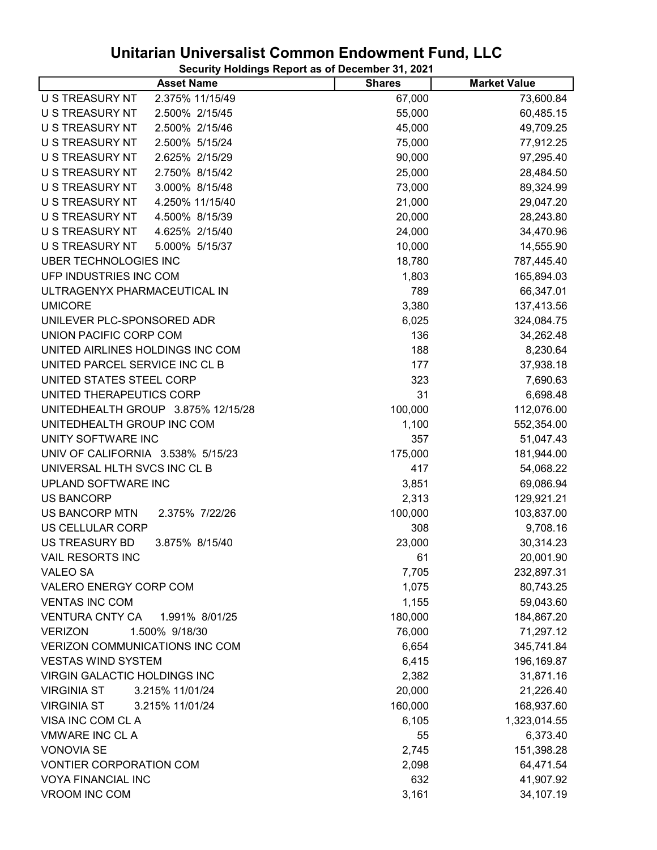| <b>Asset Name</b>                        | <b>Shares</b> | <b>Market Value</b> |
|------------------------------------------|---------------|---------------------|
| 2.375% 11/15/49<br>U S TREASURY NT       | 67,000        | 73,600.84           |
| U S TREASURY NT<br>2.500% 2/15/45        | 55,000        | 60,485.15           |
| U S TREASURY NT<br>2.500% 2/15/46        | 45,000        | 49,709.25           |
| U S TREASURY NT<br>2.500% 5/15/24        | 75,000        | 77,912.25           |
| U S TREASURY NT<br>2.625% 2/15/29        | 90,000        | 97,295.40           |
| U S TREASURY NT<br>2.750% 8/15/42        | 25,000        | 28,484.50           |
| U S TREASURY NT<br>3.000% 8/15/48        | 73,000        | 89,324.99           |
| U S TREASURY NT<br>4.250% 11/15/40       | 21,000        | 29,047.20           |
| U S TREASURY NT<br>4.500% 8/15/39        | 20,000        | 28,243.80           |
| U S TREASURY NT<br>4.625% 2/15/40        | 24,000        | 34,470.96           |
| U S TREASURY NT<br>5.000% 5/15/37        | 10,000        | 14,555.90           |
| <b>UBER TECHNOLOGIES INC</b>             | 18,780        | 787,445.40          |
| UFP INDUSTRIES INC COM                   | 1,803         | 165,894.03          |
| ULTRAGENYX PHARMACEUTICAL IN             | 789           | 66,347.01           |
| <b>UMICORE</b>                           | 3,380         | 137,413.56          |
| UNILEVER PLC-SPONSORED ADR               | 6,025         | 324,084.75          |
| UNION PACIFIC CORP COM                   | 136           | 34,262.48           |
| UNITED AIRLINES HOLDINGS INC COM         | 188           | 8,230.64            |
| UNITED PARCEL SERVICE INC CL B           | 177           | 37,938.18           |
| UNITED STATES STEEL CORP                 | 323           | 7,690.63            |
| UNITED THERAPEUTICS CORP                 | 31            | 6,698.48            |
| UNITEDHEALTH GROUP 3.875% 12/15/28       | 100,000       | 112,076.00          |
| UNITEDHEALTH GROUP INC COM               | 1,100         | 552,354.00          |
| UNITY SOFTWARE INC                       | 357           | 51,047.43           |
| UNIV OF CALIFORNIA 3.538% 5/15/23        | 175,000       | 181,944.00          |
| UNIVERSAL HLTH SVCS INC CL B             | 417           | 54,068.22           |
| UPLAND SOFTWARE INC                      | 3,851         | 69,086.94           |
| <b>US BANCORP</b>                        | 2,313         | 129,921.21          |
| US BANCORP MTN<br>2.375% 7/22/26         | 100,000       | 103,837.00          |
| US CELLULAR CORP                         | 308           | 9,708.16            |
| <b>US TREASURY BD</b><br>3.875% 8/15/40  | 23,000        | 30,314.23           |
| <b>VAIL RESORTS INC</b>                  | 61            | 20,001.90           |
| <b>VALEO SA</b>                          | 7,705         | 232,897.31          |
| VALERO ENERGY CORP COM                   | 1,075         | 80,743.25           |
| <b>VENTAS INC COM</b>                    | 1,155         | 59,043.60           |
| <b>VENTURA CNTY CA</b><br>1.991% 8/01/25 | 180,000       | 184,867.20          |
| 1.500% 9/18/30<br><b>VERIZON</b>         | 76,000        | 71,297.12           |
| <b>VERIZON COMMUNICATIONS INC COM</b>    | 6,654         | 345,741.84          |
| <b>VESTAS WIND SYSTEM</b>                | 6,415         | 196,169.87          |
| <b>VIRGIN GALACTIC HOLDINGS INC</b>      | 2,382         | 31,871.16           |
| <b>VIRGINIA ST</b><br>3.215% 11/01/24    | 20,000        | 21,226.40           |
| 3.215% 11/01/24<br><b>VIRGINIA ST</b>    | 160,000       | 168,937.60          |
| VISA INC COM CL A                        | 6,105         | 1,323,014.55        |
| <b>VMWARE INC CLA</b>                    | 55            | 6,373.40            |
| <b>VONOVIA SE</b>                        | 2,745         | 151,398.28          |
| <b>VONTIER CORPORATION COM</b>           | 2,098         | 64,471.54           |
| <b>VOYA FINANCIAL INC</b>                | 632           | 41,907.92           |
| VROOM INC COM                            | 3,161         | 34,107.19           |